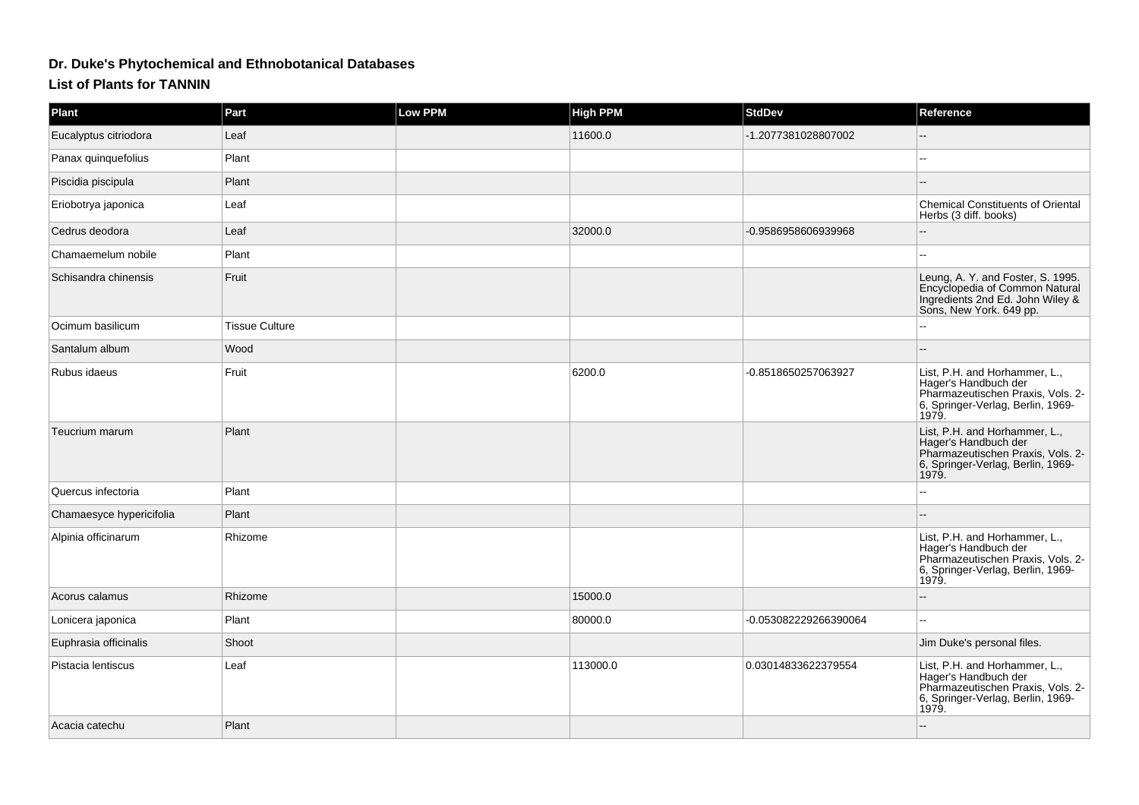## **Dr. Duke's Phytochemical and Ethnobotanical Databases**

## **List of Plants for TANNIN**

| <b>Plant</b>             | Part           | <b>Low PPM</b> | <b>High PPM</b> | <b>StdDev</b>         | Reference                                                                                                                                |
|--------------------------|----------------|----------------|-----------------|-----------------------|------------------------------------------------------------------------------------------------------------------------------------------|
| Eucalyptus citriodora    | Leaf           |                | 11600.0         | -1.2077381028807002   |                                                                                                                                          |
| Panax quinquefolius      | Plant          |                |                 |                       |                                                                                                                                          |
| Piscidia piscipula       | Plant          |                |                 |                       |                                                                                                                                          |
| Eriobotrya japonica      | Leaf           |                |                 |                       | <b>Chemical Constituents of Oriental</b><br>Herbs (3 diff. books)                                                                        |
| Cedrus deodora           | Leaf           |                | 32000.0         | -0.9586958606939968   |                                                                                                                                          |
| Chamaemelum nobile       | Plant          |                |                 |                       |                                                                                                                                          |
| Schisandra chinensis     | Fruit          |                |                 |                       | Leung, A. Y. and Foster, S. 1995.<br>Encyclopedia of Common Natural<br>Ingredients 2nd Ed. John Wiley &<br>Sons, New York. 649 pp.       |
| Ocimum basilicum         | Tissue Culture |                |                 |                       |                                                                                                                                          |
| Santalum album           | Wood           |                |                 |                       |                                                                                                                                          |
| Rubus idaeus             | Fruit          |                | 6200.0          | -0.8518650257063927   | List, P.H. and Horhammer, L.,<br>Hager's Handbuch der<br>Pharmazeutischen Praxis, Vols. 2-<br>6, Springer-Verlag, Berlin, 1969-<br>1979. |
| Teucrium marum           | Plant          |                |                 |                       | List, P.H. and Horhammer, L.,<br>Hager's Handbuch der<br>Pharmazeutischen Praxis, Vols. 2-<br>6, Springer-Verlag, Berlin, 1969-<br>1979. |
| Quercus infectoria       | Plant          |                |                 |                       |                                                                                                                                          |
| Chamaesyce hypericifolia | Plant          |                |                 |                       |                                                                                                                                          |
| Alpinia officinarum      | Rhizome        |                |                 |                       | List, P.H. and Horhammer, L.,<br>Hager's Handbuch der<br>Pharmazeutischen Praxis, Vols. 2-<br>6, Springer-Verlag, Berlin, 1969-<br>1979. |
| Acorus calamus           | Rhizome        |                | 15000.0         |                       |                                                                                                                                          |
| Lonicera japonica        | Plant          |                | 80000.0         | -0.053082229266390064 | $\overline{a}$                                                                                                                           |
| Euphrasia officinalis    | Shoot          |                |                 |                       | Jim Duke's personal files.                                                                                                               |
| Pistacia lentiscus       | Leaf           |                | 113000.0        | 0.03014833622379554   | List, P.H. and Horhammer, L.,<br>Hager's Handbuch der<br>Pharmazeutischen Praxis, Vols. 2-<br>6, Springer-Verlag, Berlin, 1969-<br>1979. |
| Acacia catechu           | Plant          |                |                 |                       |                                                                                                                                          |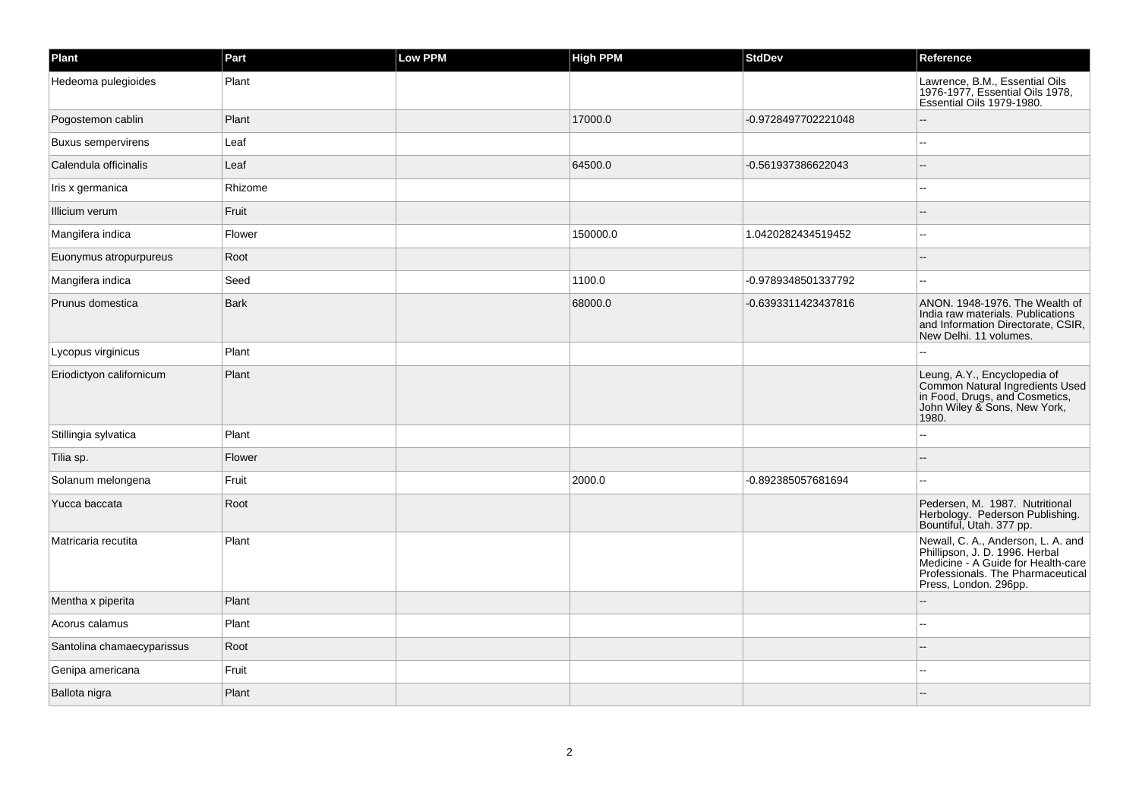| Plant                      | Part        | Low PPM | <b>High PPM</b> | <b>StdDev</b>       | Reference                                                                                                                                                                |
|----------------------------|-------------|---------|-----------------|---------------------|--------------------------------------------------------------------------------------------------------------------------------------------------------------------------|
| Hedeoma pulegioides        | Plant       |         |                 |                     | Lawrence, B.M., Essential Oils<br>1976-1977, Essential Oils 1978,<br>Essential Oils 1979-1980.                                                                           |
| Pogostemon cablin          | Plant       |         | 17000.0         | -0.9728497702221048 | $-$                                                                                                                                                                      |
| <b>Buxus sempervirens</b>  | Leaf        |         |                 |                     |                                                                                                                                                                          |
| Calendula officinalis      | Leaf        |         | 64500.0         | -0.561937386622043  |                                                                                                                                                                          |
| Iris x germanica           | Rhizome     |         |                 |                     | --                                                                                                                                                                       |
| Illicium verum             | Fruit       |         |                 |                     |                                                                                                                                                                          |
| Mangifera indica           | Flower      |         | 150000.0        | 1.0420282434519452  |                                                                                                                                                                          |
| Euonymus atropurpureus     | Root        |         |                 |                     |                                                                                                                                                                          |
| Mangifera indica           | Seed        |         | 1100.0          | -0.9789348501337792 | ۵.                                                                                                                                                                       |
| Prunus domestica           | <b>Bark</b> |         | 68000.0         | -0.6393311423437816 | ANON. 1948-1976. The Wealth of<br>India raw materials. Publications<br>and Information Directorate, CSIR,<br>New Delhi. 11 volumes.                                      |
| Lycopus virginicus         | Plant       |         |                 |                     |                                                                                                                                                                          |
| Eriodictyon californicum   | Plant       |         |                 |                     | Leung, A.Y., Encyclopedia of<br>Common Natural Ingredients Used<br>in Food, Drugs, and Cosmetics,<br>John Wiley & Sons, New York,<br>1980.                               |
| Stillingia sylvatica       | Plant       |         |                 |                     |                                                                                                                                                                          |
| Tilia sp.                  | Flower      |         |                 |                     |                                                                                                                                                                          |
| Solanum melongena          | Fruit       |         | 2000.0          | -0.892385057681694  |                                                                                                                                                                          |
| Yucca baccata              | Root        |         |                 |                     | Pedersen, M. 1987. Nutritional<br>Herbology. Pederson Publishing.<br>Bountiful, Utah. 377 pp.                                                                            |
| Matricaria recutita        | Plant       |         |                 |                     | Newall, C. A., Anderson, L. A. and<br>Phillipson, J. D. 1996. Herbal<br>Medicine - A Guide for Health-care<br>Professionals. The Pharmaceutical<br>Press, London. 296pp. |
| Mentha x piperita          | Plant       |         |                 |                     |                                                                                                                                                                          |
| Acorus calamus             | Plant       |         |                 |                     |                                                                                                                                                                          |
| Santolina chamaecyparissus | Root        |         |                 |                     |                                                                                                                                                                          |
| Genipa americana           | Fruit       |         |                 |                     |                                                                                                                                                                          |
| Ballota nigra              | Plant       |         |                 |                     |                                                                                                                                                                          |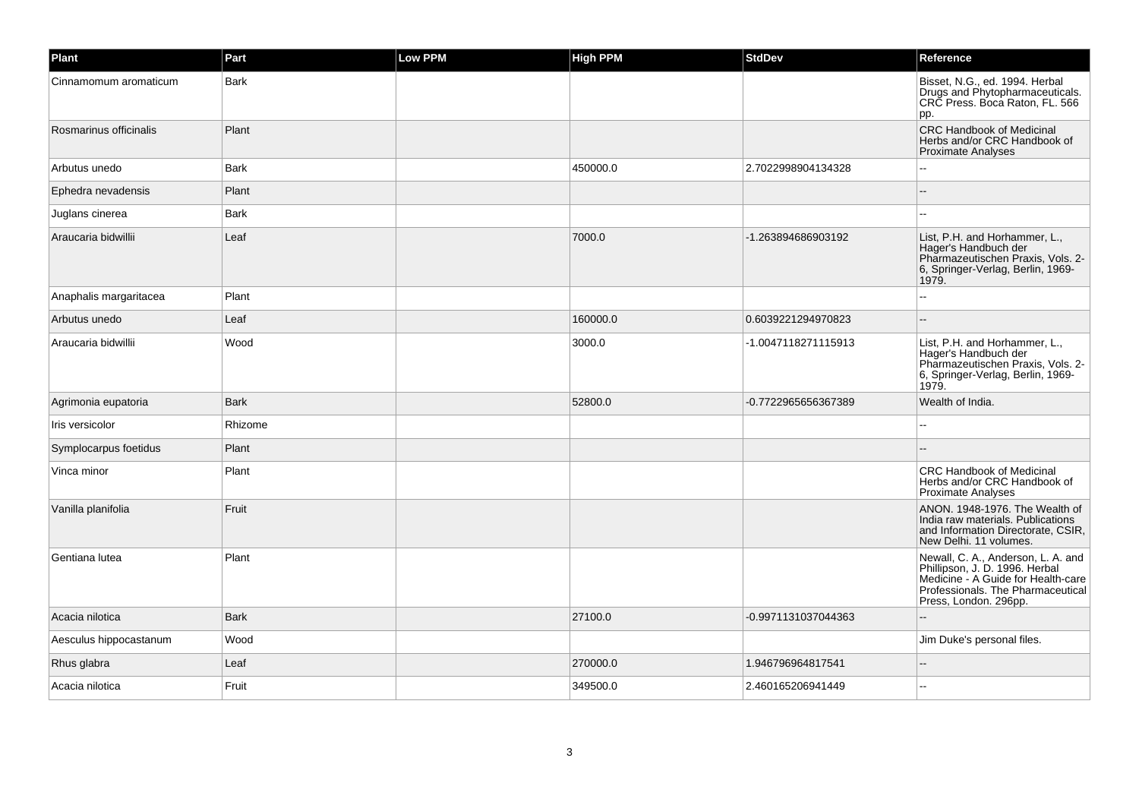| Plant                  | Part        | Low PPM | <b>High PPM</b> | <b>StdDev</b>       | Reference                                                                                                                                                                |
|------------------------|-------------|---------|-----------------|---------------------|--------------------------------------------------------------------------------------------------------------------------------------------------------------------------|
| Cinnamomum aromaticum  | Bark        |         |                 |                     | Bisset, N.G., ed. 1994. Herbal<br>Drugs and Phytopharmaceuticals.<br>CRC Press. Boca Raton, FL. 566<br>pp.                                                               |
| Rosmarinus officinalis | Plant       |         |                 |                     | <b>CRC Handbook of Medicinal</b><br>Herbs and/or CRC Handbook of<br><b>Proximate Analyses</b>                                                                            |
| Arbutus unedo          | <b>Bark</b> |         | 450000.0        | 2.7022998904134328  |                                                                                                                                                                          |
| Ephedra nevadensis     | Plant       |         |                 |                     |                                                                                                                                                                          |
| Juglans cinerea        | Bark        |         |                 |                     |                                                                                                                                                                          |
| Araucaria bidwillii    | Leaf        |         | 7000.0          | -1.263894686903192  | List, P.H. and Horhammer, L.,<br>Hager's Handbuch der<br>Pharmazeutischen Praxis, Vols. 2-<br>6, Springer-Verlag, Berlin, 1969-<br>1979.                                 |
| Anaphalis margaritacea | Plant       |         |                 |                     |                                                                                                                                                                          |
| Arbutus unedo          | Leaf        |         | 160000.0        | 0.6039221294970823  |                                                                                                                                                                          |
| Araucaria bidwillii    | Wood        |         | 3000.0          | -1.0047118271115913 | List, P.H. and Horhammer, L.,<br>Hager's Handbuch der<br>Pharmazeutischen Praxis, Vols. 2-<br>6, Springer-Verlag, Berlin, 1969-<br>1979.                                 |
| Agrimonia eupatoria    | <b>Bark</b> |         | 52800.0         | -0.7722965656367389 | Wealth of India.                                                                                                                                                         |
| Iris versicolor        | Rhizome     |         |                 |                     |                                                                                                                                                                          |
| Symplocarpus foetidus  | Plant       |         |                 |                     |                                                                                                                                                                          |
| Vinca minor            | Plant       |         |                 |                     | <b>CRC Handbook of Medicinal</b><br>Herbs and/or CRC Handbook of<br><b>Proximate Analyses</b>                                                                            |
| Vanilla planifolia     | Fruit       |         |                 |                     | ANON. 1948-1976. The Wealth of<br>India raw materials. Publications<br>and Information Directorate, CSIR,<br>New Delhi. 11 volumes.                                      |
| Gentiana lutea         | Plant       |         |                 |                     | Newall, C. A., Anderson, L. A. and<br>Phillipson, J. D. 1996. Herbal<br>Medicine - A Guide for Health-care<br>Professionals. The Pharmaceutical<br>Press, London. 296pp. |
| Acacia nilotica        | <b>Bark</b> |         | 27100.0         | -0.9971131037044363 |                                                                                                                                                                          |
| Aesculus hippocastanum | Wood        |         |                 |                     | Jim Duke's personal files.                                                                                                                                               |
| Rhus glabra            | Leaf        |         | 270000.0        | 1.946796964817541   |                                                                                                                                                                          |
| Acacia nilotica        | Fruit       |         | 349500.0        | 2.460165206941449   |                                                                                                                                                                          |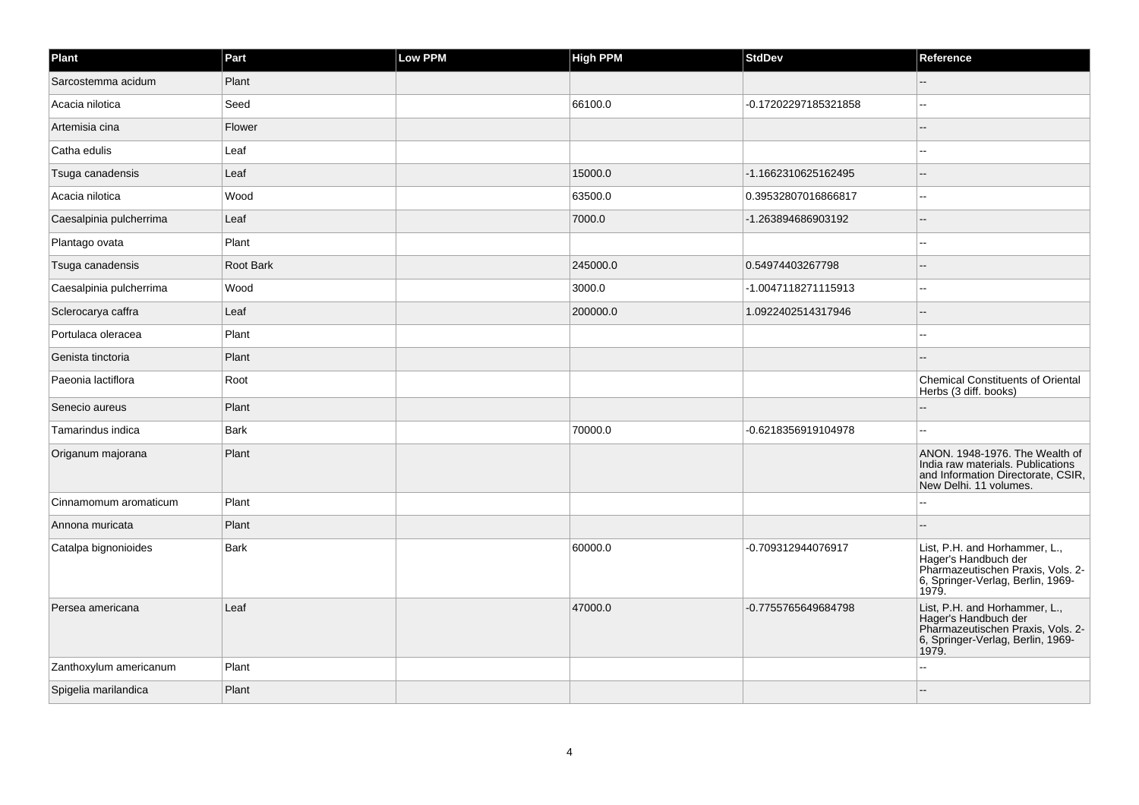| Plant                   | Part             | Low PPM | <b>High PPM</b> | <b>StdDev</b>        | Reference                                                                                                                                |
|-------------------------|------------------|---------|-----------------|----------------------|------------------------------------------------------------------------------------------------------------------------------------------|
| Sarcostemma acidum      | Plant            |         |                 |                      |                                                                                                                                          |
| Acacia nilotica         | Seed             |         | 66100.0         | -0.17202297185321858 |                                                                                                                                          |
| Artemisia cina          | Flower           |         |                 |                      |                                                                                                                                          |
| Catha edulis            | Leaf             |         |                 |                      | $\overline{a}$                                                                                                                           |
| Tsuga canadensis        | Leaf             |         | 15000.0         | -1.1662310625162495  | --                                                                                                                                       |
| Acacia nilotica         | Wood             |         | 63500.0         | 0.39532807016866817  | --                                                                                                                                       |
| Caesalpinia pulcherrima | Leaf             |         | 7000.0          | -1.263894686903192   | $\sim$                                                                                                                                   |
| Plantago ovata          | Plant            |         |                 |                      |                                                                                                                                          |
| Tsuga canadensis        | <b>Root Bark</b> |         | 245000.0        | 0.54974403267798     |                                                                                                                                          |
| Caesalpinia pulcherrima | Wood             |         | 3000.0          | -1.0047118271115913  | $\sim$                                                                                                                                   |
| Sclerocarya caffra      | Leaf             |         | 200000.0        | 1.0922402514317946   | $=$                                                                                                                                      |
| Portulaca oleracea      | Plant            |         |                 |                      |                                                                                                                                          |
| Genista tinctoria       | Plant            |         |                 |                      |                                                                                                                                          |
| Paeonia lactiflora      | Root             |         |                 |                      | <b>Chemical Constituents of Oriental</b><br>Herbs (3 diff. books)                                                                        |
| Senecio aureus          | Plant            |         |                 |                      |                                                                                                                                          |
| Tamarindus indica       | Bark             |         | 70000.0         | -0.6218356919104978  | --                                                                                                                                       |
| Origanum majorana       | Plant            |         |                 |                      | ANON. 1948-1976. The Wealth of<br>India raw materials. Publications<br>and Information Directorate, CSIR,<br>New Delhi. 11 volumes.      |
| Cinnamomum aromaticum   | Plant            |         |                 |                      |                                                                                                                                          |
| Annona muricata         | Plant            |         |                 |                      |                                                                                                                                          |
| Catalpa bignonioides    | <b>Bark</b>      |         | 60000.0         | -0.709312944076917   | List, P.H. and Horhammer, L.,<br>Hager's Handbuch der<br>Pharmazeutischen Praxis, Vols. 2-<br>6, Springer-Verlag, Berlin, 1969-<br>1979. |
| Persea americana        | Leaf             |         | 47000.0         | -0.7755765649684798  | List, P.H. and Horhammer, L.,<br>Hager's Handbuch der<br>Pharmazeutischen Praxis, Vols. 2-<br>6, Springer-Verlag, Berlin, 1969-<br>1979. |
| Zanthoxylum americanum  | Plant            |         |                 |                      |                                                                                                                                          |
| Spigelia marilandica    | Plant            |         |                 |                      |                                                                                                                                          |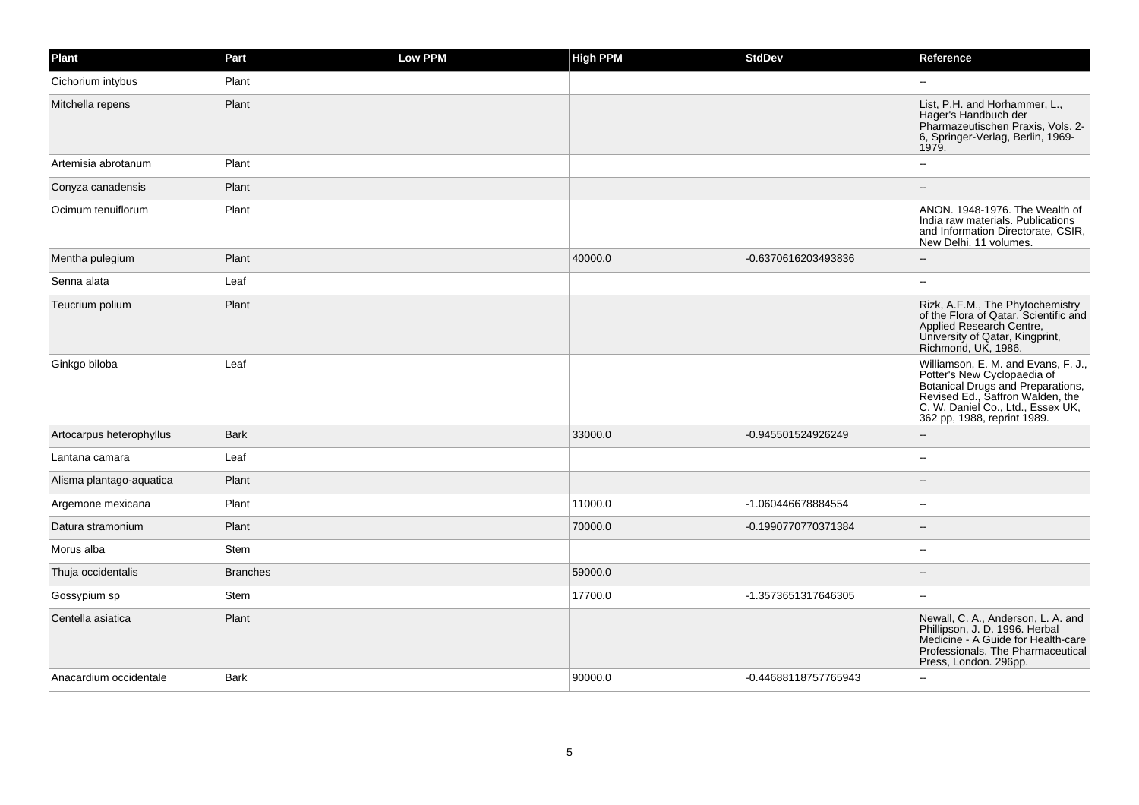| Plant                    | Part            | <b>Low PPM</b> | <b>High PPM</b> | <b>StdDev</b>        | Reference                                                                                                                                                                                                       |
|--------------------------|-----------------|----------------|-----------------|----------------------|-----------------------------------------------------------------------------------------------------------------------------------------------------------------------------------------------------------------|
| Cichorium intybus        | Plant           |                |                 |                      |                                                                                                                                                                                                                 |
| Mitchella repens         | Plant           |                |                 |                      | List, P.H. and Horhammer, L.,<br>Hager's Handbuch der<br>Pharmazeutischen Praxis, Vols. 2-<br>6, Springer-Verlag, Berlin, 1969-<br>1979.                                                                        |
| Artemisia abrotanum      | Plant           |                |                 |                      |                                                                                                                                                                                                                 |
| Conyza canadensis        | Plant           |                |                 |                      | $\sim$                                                                                                                                                                                                          |
| Ocimum tenuiflorum       | Plant           |                |                 |                      | ANON. 1948-1976. The Wealth of<br>India raw materials. Publications<br>and Information Directorate, CSIR,<br>New Delhi. 11 volumes.                                                                             |
| Mentha pulegium          | Plant           |                | 40000.0         | -0.6370616203493836  | $\sim$ $\sim$                                                                                                                                                                                                   |
| Senna alata              | Leaf            |                |                 |                      |                                                                                                                                                                                                                 |
| Teucrium polium          | Plant           |                |                 |                      | Rizk, A.F.M., The Phytochemistry<br>of the Flora of Qatar, Scientific and<br>Applied Research Centre,<br>University of Qatar, Kingprint,<br>Richmond, UK, 1986.                                                 |
| Ginkgo biloba            | Leaf            |                |                 |                      | Williamson, E. M. and Evans, F. J.,<br>Potter's New Cyclopaedia of<br>Botanical Drugs and Preparations,<br>Revised Ed., Saffron Walden, the<br>C. W. Daniel Co., Ltd., Essex UK,<br>362 pp, 1988, reprint 1989. |
| Artocarpus heterophyllus | <b>Bark</b>     |                | 33000.0         | -0.945501524926249   |                                                                                                                                                                                                                 |
| Lantana camara           | Leaf            |                |                 |                      | $\sim$                                                                                                                                                                                                          |
| Alisma plantago-aquatica | Plant           |                |                 |                      |                                                                                                                                                                                                                 |
| Argemone mexicana        | Plant           |                | 11000.0         | -1.060446678884554   | $\sim$                                                                                                                                                                                                          |
| Datura stramonium        | Plant           |                | 70000.0         | -0.1990770770371384  | $\sim$                                                                                                                                                                                                          |
| Morus alba               | Stem            |                |                 |                      | ۵.                                                                                                                                                                                                              |
| Thuja occidentalis       | <b>Branches</b> |                | 59000.0         |                      | ٠.                                                                                                                                                                                                              |
| Gossypium sp             | Stem            |                | 17700.0         | -1.3573651317646305  | $\sim$                                                                                                                                                                                                          |
| Centella asiatica        | Plant           |                |                 |                      | Newall, C. A., Anderson, L. A. and<br>Phillipson, J. D. 1996. Herbal<br>Medicine - A Guide for Health-care<br>Professionals. The Pharmaceutical<br>Press, London. 296pp.                                        |
| Anacardium occidentale   | <b>Bark</b>     |                | 90000.0         | -0.44688118757765943 | $\sim$                                                                                                                                                                                                          |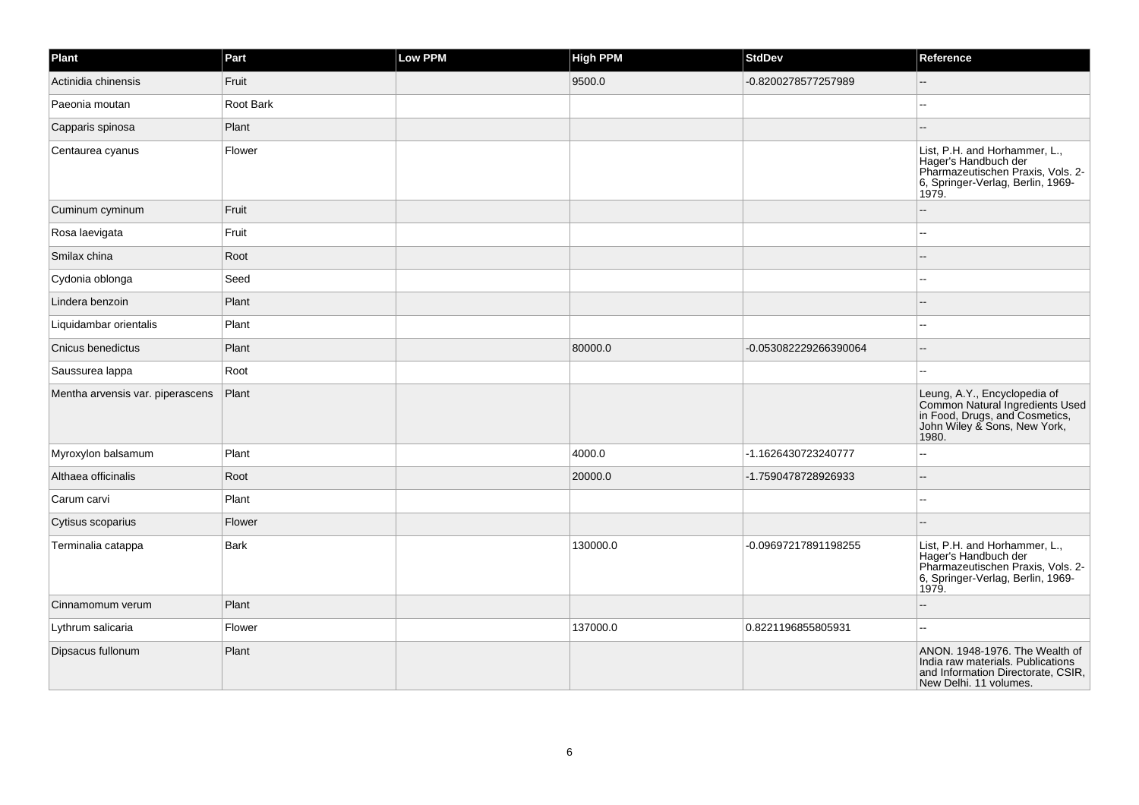| Plant                            | Part      | Low PPM | <b>High PPM</b> | <b>StdDev</b>         | Reference                                                                                                                                  |
|----------------------------------|-----------|---------|-----------------|-----------------------|--------------------------------------------------------------------------------------------------------------------------------------------|
| Actinidia chinensis              | Fruit     |         | 9500.0          | -0.8200278577257989   |                                                                                                                                            |
| Paeonia moutan                   | Root Bark |         |                 |                       |                                                                                                                                            |
| Capparis spinosa                 | Plant     |         |                 |                       |                                                                                                                                            |
| Centaurea cyanus                 | Flower    |         |                 |                       | List, P.H. and Horhammer, L.,<br>Hager's Handbuch der<br>Pharmazeutischen Praxis, Vols. 2-<br>6, Springer-Verlag, Berlin, 1969-<br>1979.   |
| Cuminum cyminum                  | Fruit     |         |                 |                       |                                                                                                                                            |
| Rosa laevigata                   | Fruit     |         |                 |                       |                                                                                                                                            |
| Smilax china                     | Root      |         |                 |                       |                                                                                                                                            |
| Cydonia oblonga                  | Seed      |         |                 |                       |                                                                                                                                            |
| Lindera benzoin                  | Plant     |         |                 |                       |                                                                                                                                            |
| Liquidambar orientalis           | Plant     |         |                 |                       | $\sim$                                                                                                                                     |
| Cnicus benedictus                | Plant     |         | 80000.0         | -0.053082229266390064 |                                                                                                                                            |
| Saussurea lappa                  | Root      |         |                 |                       |                                                                                                                                            |
| Mentha arvensis var. piperascens | Plant     |         |                 |                       | Leung, A.Y., Encyclopedia of<br>Common Natural Ingredients Used<br>in Food, Drugs, and Cosmetics,<br>John Wiley & Sons, New York,<br>1980. |
| Myroxylon balsamum               | Plant     |         | 4000.0          | -1.1626430723240777   | --                                                                                                                                         |
| Althaea officinalis              | Root      |         | 20000.0         | -1.7590478728926933   |                                                                                                                                            |
| Carum carvi                      | Plant     |         |                 |                       | $\overline{a}$                                                                                                                             |
| Cytisus scoparius                | Flower    |         |                 |                       |                                                                                                                                            |
| Terminalia catappa               | Bark      |         | 130000.0        | -0.09697217891198255  | List, P.H. and Horhammer, L.,<br>Hager's Handbuch der<br>Pharmazeutischen Praxis, Vols. 2-<br>6, Springer-Verlag, Berlin, 1969-<br>1979.   |
| Cinnamomum verum                 | Plant     |         |                 |                       |                                                                                                                                            |
| Lythrum salicaria                | Flower    |         | 137000.0        | 0.8221196855805931    | --                                                                                                                                         |
| Dipsacus fullonum                | Plant     |         |                 |                       | ANON. 1948-1976. The Wealth of<br>India raw materials. Publications<br>and Information Directorate, CSIR,<br>New Delhi. 11 volumes.        |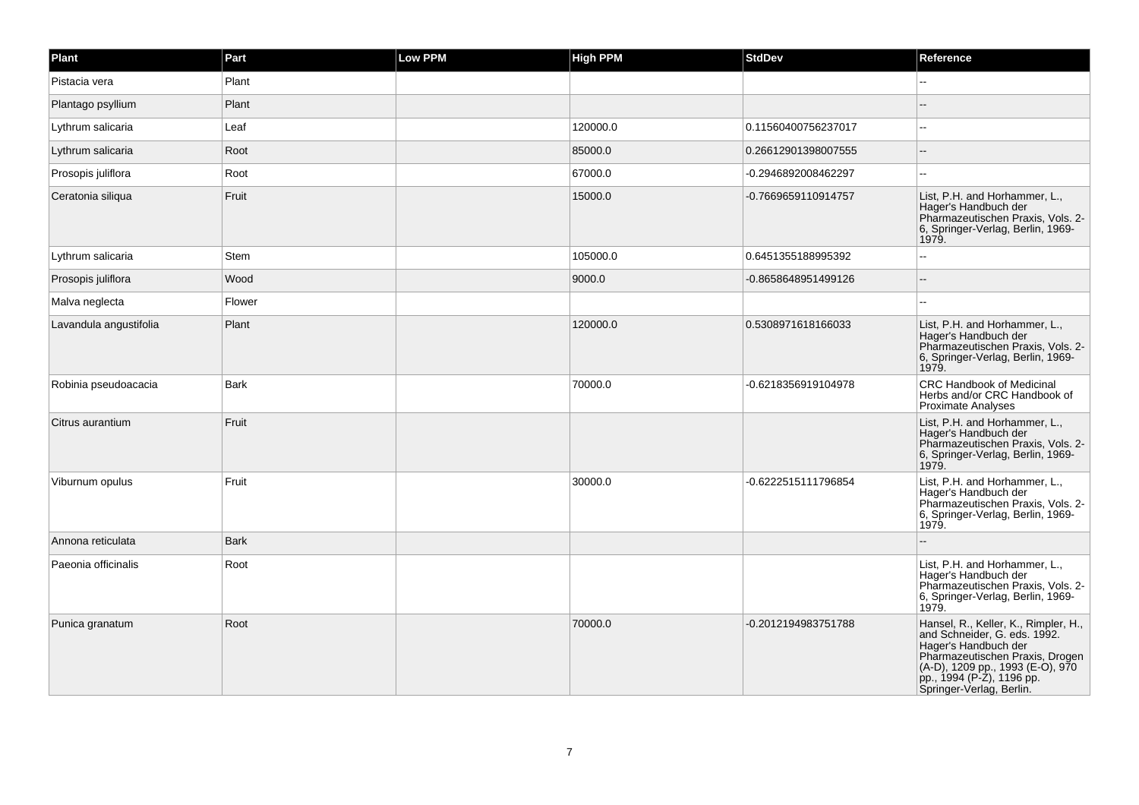| Plant                  | Part        | Low PPM | <b>High PPM</b> | <b>StdDev</b>       | Reference                                                                                                                                                                                                                    |
|------------------------|-------------|---------|-----------------|---------------------|------------------------------------------------------------------------------------------------------------------------------------------------------------------------------------------------------------------------------|
| Pistacia vera          | Plant       |         |                 |                     |                                                                                                                                                                                                                              |
| Plantago psyllium      | Plant       |         |                 |                     |                                                                                                                                                                                                                              |
| Lythrum salicaria      | Leaf        |         | 120000.0        | 0.11560400756237017 | $\overline{a}$                                                                                                                                                                                                               |
| Lythrum salicaria      | Root        |         | 85000.0         | 0.26612901398007555 |                                                                                                                                                                                                                              |
| Prosopis juliflora     | Root        |         | 67000.0         | -0.2946892008462297 | $\overline{a}$                                                                                                                                                                                                               |
| Ceratonia siliqua      | Fruit       |         | 15000.0         | -0.7669659110914757 | List, P.H. and Horhammer, L.,<br>Hager's Handbuch der<br>Pharmazeutischen Praxis, Vols. 2-<br>6, Springer-Verlag, Berlin, 1969-<br>1979.                                                                                     |
| Lythrum salicaria      | Stem        |         | 105000.0        | 0.6451355188995392  | --                                                                                                                                                                                                                           |
| Prosopis juliflora     | Wood        |         | 9000.0          | -0.8658648951499126 |                                                                                                                                                                                                                              |
| Malva neglecta         | Flower      |         |                 |                     |                                                                                                                                                                                                                              |
| Lavandula angustifolia | Plant       |         | 120000.0        | 0.5308971618166033  | List, P.H. and Horhammer, L.,<br>Hager's Handbuch der<br>Pharmazeutischen Praxis, Vols. 2-<br>6, Springer-Verlag, Berlin, 1969-<br>1979.                                                                                     |
| Robinia pseudoacacia   | <b>Bark</b> |         | 70000.0         | -0.6218356919104978 | <b>CRC Handbook of Medicinal</b><br>Herbs and/or CRC Handbook of<br>Proximate Analyses                                                                                                                                       |
| Citrus aurantium       | Fruit       |         |                 |                     | List, P.H. and Horhammer, L.,<br>Hager's Handbuch der<br>Pharmazeutischen Praxis, Vols. 2-<br>6, Springer-Verlag, Berlin, 1969-<br>1979.                                                                                     |
| Viburnum opulus        | Fruit       |         | 30000.0         | -0.6222515111796854 | List, P.H. and Horhammer, L.,<br>Hager's Handbuch der<br>Pharmazeutischen Praxis, Vols. 2-<br>6, Springer-Verlag, Berlin, 1969-<br>1979.                                                                                     |
| Annona reticulata      | <b>Bark</b> |         |                 |                     |                                                                                                                                                                                                                              |
| Paeonia officinalis    | Root        |         |                 |                     | List, P.H. and Horhammer, L.,<br>Hager's Handbuch der<br>Pharmazeutischen Praxis, Vols. 2-<br>6, Springer-Verlag, Berlin, 1969-<br>1979.                                                                                     |
| Punica granatum        | Root        |         | 70000.0         | -0.2012194983751788 | Hansel, R., Keller, K., Rimpler, H.,<br>and Schneider, G. eds. 1992.<br>Hager's Handbuch der<br>Pharmazeutischen Praxis, Drogen<br>(A-D), 1209 pp., 1993 (E-O), 970<br>pp., 1994 (P-Z), 1196 pp.<br>Springer-Verlag, Berlin. |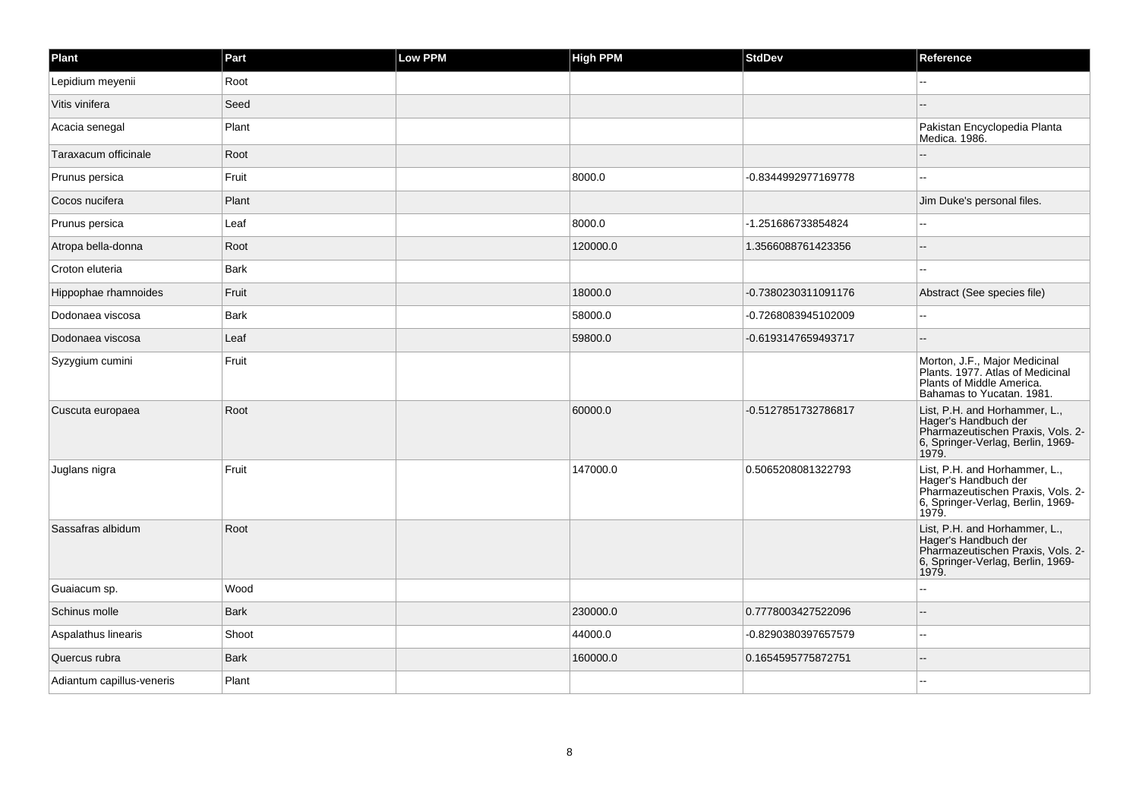| Plant                     | Part        | Low PPM | <b>High PPM</b> | <b>StdDev</b>       | Reference                                                                                                                                |
|---------------------------|-------------|---------|-----------------|---------------------|------------------------------------------------------------------------------------------------------------------------------------------|
| Lepidium meyenii          | Root        |         |                 |                     |                                                                                                                                          |
| Vitis vinifera            | Seed        |         |                 |                     |                                                                                                                                          |
| Acacia senegal            | Plant       |         |                 |                     | Pakistan Encyclopedia Planta<br>Medica. 1986.                                                                                            |
| Taraxacum officinale      | Root        |         |                 |                     |                                                                                                                                          |
| Prunus persica            | Fruit       |         | 8000.0          | -0.8344992977169778 | $-$                                                                                                                                      |
| Cocos nucifera            | Plant       |         |                 |                     | Jim Duke's personal files.                                                                                                               |
| Prunus persica            | Leaf        |         | 8000.0          | -1.251686733854824  | $\overline{a}$                                                                                                                           |
| Atropa bella-donna        | Root        |         | 120000.0        | 1.3566088761423356  |                                                                                                                                          |
| Croton eluteria           | <b>Bark</b> |         |                 |                     |                                                                                                                                          |
| Hippophae rhamnoides      | Fruit       |         | 18000.0         | -0.7380230311091176 | Abstract (See species file)                                                                                                              |
| Dodonaea viscosa          | <b>Bark</b> |         | 58000.0         | -0.7268083945102009 |                                                                                                                                          |
| Dodonaea viscosa          | Leaf        |         | 59800.0         | -0.6193147659493717 |                                                                                                                                          |
| Syzygium cumini           | Fruit       |         |                 |                     | Morton, J.F., Major Medicinal<br>Plants. 1977. Atlas of Medicinal<br>Plants of Middle America.<br>Bahamas to Yucatan. 1981.              |
| Cuscuta europaea          | Root        |         | 60000.0         | -0.5127851732786817 | List, P.H. and Horhammer, L.,<br>Hager's Handbuch der<br>Pharmazeutischen Praxis, Vols. 2-<br>6, Springer-Verlag, Berlin, 1969-<br>1979. |
| Juglans nigra             | Fruit       |         | 147000.0        | 0.5065208081322793  | List, P.H. and Horhammer, L.,<br>Hager's Handbuch der<br>Pharmazeutischen Praxis, Vols. 2-<br>6, Springer-Verlag, Berlin, 1969-<br>1979. |
| Sassafras albidum         | Root        |         |                 |                     | List, P.H. and Horhammer, L.,<br>Hager's Handbuch der<br>Pharmazeutischen Praxis, Vols. 2-<br>6, Springer-Verlag, Berlin, 1969-<br>1979. |
| Guaiacum sp.              | Wood        |         |                 |                     |                                                                                                                                          |
| Schinus molle             | <b>Bark</b> |         | 230000.0        | 0.7778003427522096  |                                                                                                                                          |
| Aspalathus linearis       | Shoot       |         | 44000.0         | -0.8290380397657579 |                                                                                                                                          |
| Quercus rubra             | <b>Bark</b> |         | 160000.0        | 0.1654595775872751  |                                                                                                                                          |
| Adiantum capillus-veneris | Plant       |         |                 |                     | --                                                                                                                                       |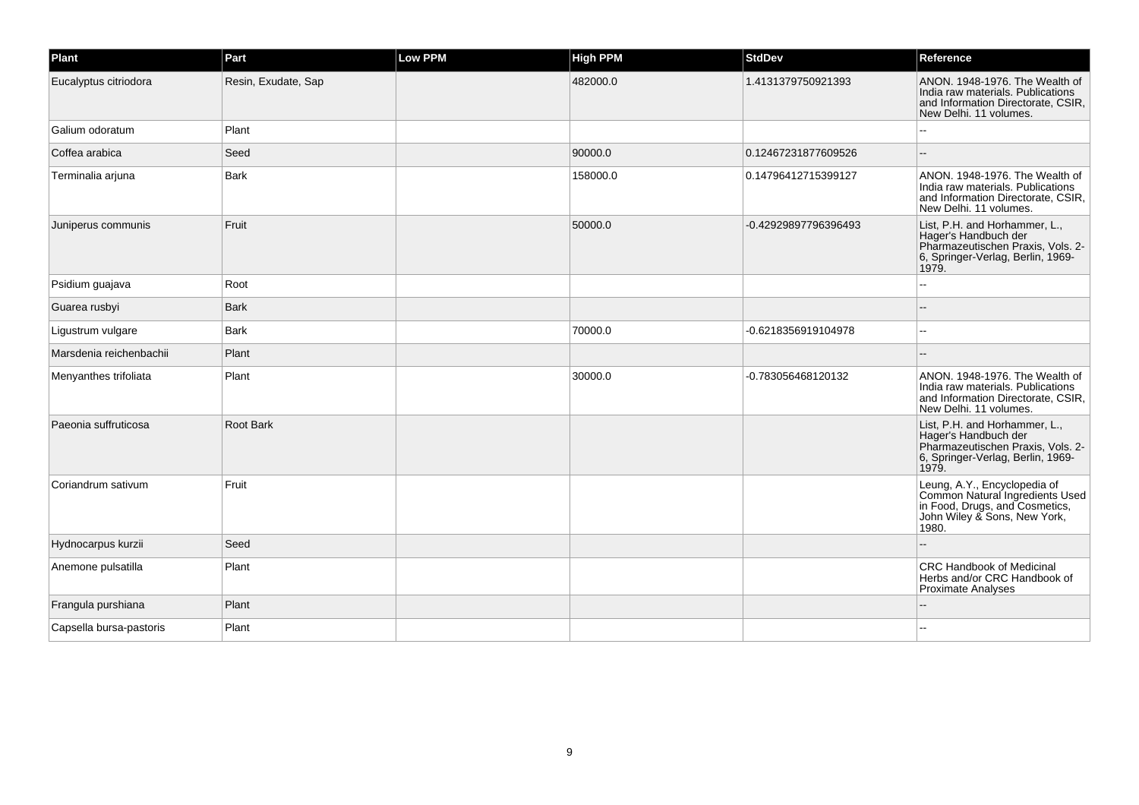| Plant                   | Part                | <b>Low PPM</b> | <b>High PPM</b> | <b>StdDev</b>        | Reference                                                                                                                                  |
|-------------------------|---------------------|----------------|-----------------|----------------------|--------------------------------------------------------------------------------------------------------------------------------------------|
| Eucalyptus citriodora   | Resin, Exudate, Sap |                | 482000.0        | 1.4131379750921393   | ANON. 1948-1976. The Wealth of<br>India raw materials. Publications<br>and Information Directorate, CSIR,<br>New Delhi. 11 volumes.        |
| Galium odoratum         | Plant               |                |                 |                      |                                                                                                                                            |
| Coffea arabica          | Seed                |                | 90000.0         | 0.12467231877609526  |                                                                                                                                            |
| Terminalia arjuna       | <b>Bark</b>         |                | 158000.0        | 0.14796412715399127  | ANON. 1948-1976. The Wealth of<br>India raw materials. Publications<br>and Information Directorate, CSIR,<br>New Delhi. 11 volumes.        |
| Juniperus communis      | Fruit               |                | 50000.0         | -0.42929897796396493 | List, P.H. and Horhammer, L.,<br>Hager's Handbuch der<br>Pharmazeutischen Praxis, Vols. 2-<br>6, Springer-Verlag, Berlin, 1969-<br>1979.   |
| Psidium guajava         | Root                |                |                 |                      |                                                                                                                                            |
| Guarea rusbyi           | <b>Bark</b>         |                |                 |                      |                                                                                                                                            |
| Ligustrum vulgare       | Bark                |                | 70000.0         | -0.6218356919104978  | $\overline{a}$                                                                                                                             |
| Marsdenia reichenbachii | Plant               |                |                 |                      |                                                                                                                                            |
| Menyanthes trifoliata   | Plant               |                | 30000.0         | -0.783056468120132   | ANON. 1948-1976. The Wealth of<br>India raw materials. Publications<br>and Information Directorate, CSIR,<br>New Delhi, 11 volumes.        |
| Paeonia suffruticosa    | Root Bark           |                |                 |                      | List, P.H. and Horhammer, L.,<br>Hager's Handbuch der<br>Pharmazeutischen Praxis, Vols. 2-<br>6, Springer-Verlag, Berlin, 1969-<br>1979.   |
| Coriandrum sativum      | Fruit               |                |                 |                      | Leung, A.Y., Encyclopedia of<br>Common Natural Ingredients Used<br>in Food, Drugs, and Cosmetics,<br>John Wiley & Sons, New York,<br>1980. |
| Hydnocarpus kurzii      | Seed                |                |                 |                      |                                                                                                                                            |
| Anemone pulsatilla      | Plant               |                |                 |                      | CRC Handbook of Medicinal<br>Herbs and/or CRC Handbook of<br>Proximate Analyses                                                            |
| Frangula purshiana      | Plant               |                |                 |                      |                                                                                                                                            |
| Capsella bursa-pastoris | Plant               |                |                 |                      |                                                                                                                                            |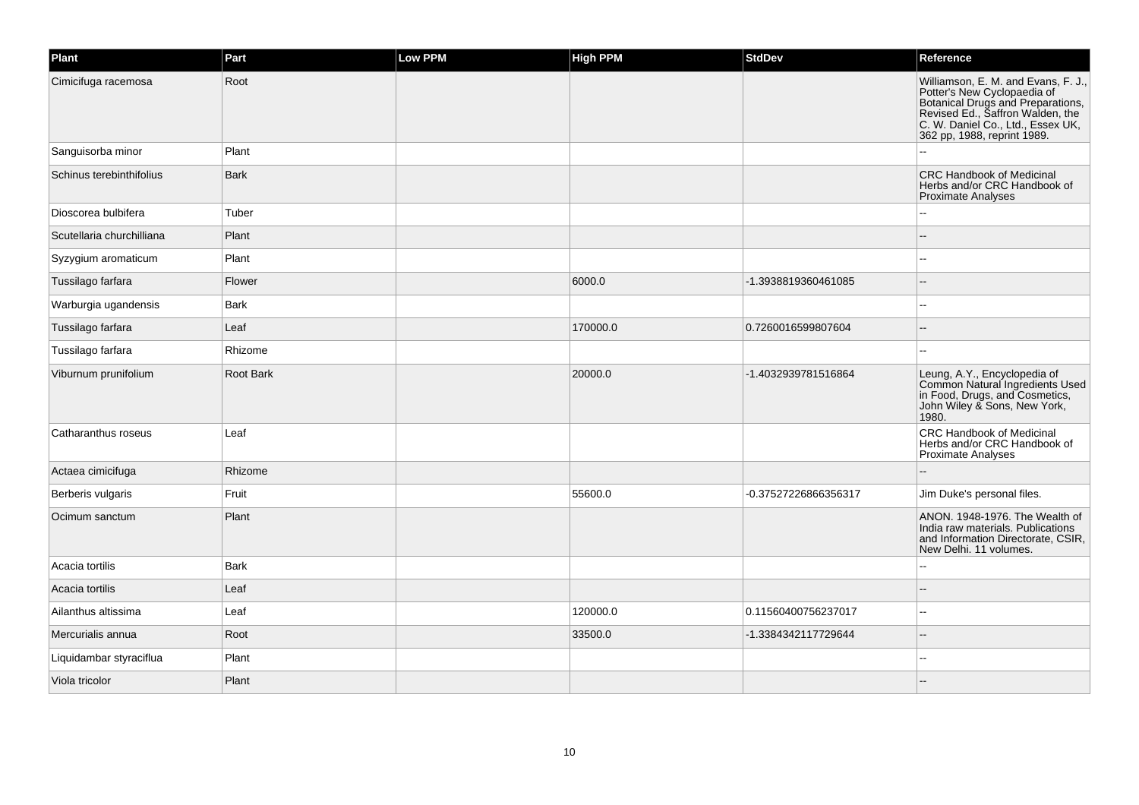| Plant                     | Part        | Low PPM | <b>High PPM</b> | <b>StdDev</b>        | Reference                                                                                                                                                                                                       |
|---------------------------|-------------|---------|-----------------|----------------------|-----------------------------------------------------------------------------------------------------------------------------------------------------------------------------------------------------------------|
| Cimicifuga racemosa       | Root        |         |                 |                      | Williamson, E. M. and Evans, F. J.,<br>Potter's New Cyclopaedia of<br>Botanical Drugs and Preparations,<br>Revised Ed., Saffron Walden, the<br>C. W. Daniel Co., Ltd., Essex UK,<br>362 pp, 1988, reprint 1989. |
| Sanguisorba minor         | Plant       |         |                 |                      |                                                                                                                                                                                                                 |
| Schinus terebinthifolius  | <b>Bark</b> |         |                 |                      | <b>CRC Handbook of Medicinal</b><br>Herbs and/or CRC Handbook of<br><b>Proximate Analyses</b>                                                                                                                   |
| Dioscorea bulbifera       | Tuber       |         |                 |                      |                                                                                                                                                                                                                 |
| Scutellaria churchilliana | Plant       |         |                 |                      |                                                                                                                                                                                                                 |
| Syzygium aromaticum       | Plant       |         |                 |                      |                                                                                                                                                                                                                 |
| Tussilago farfara         | Flower      |         | 6000.0          | -1.3938819360461085  |                                                                                                                                                                                                                 |
| Warburgia ugandensis      | Bark        |         |                 |                      |                                                                                                                                                                                                                 |
| Tussilago farfara         | Leaf        |         | 170000.0        | 0.7260016599807604   |                                                                                                                                                                                                                 |
| Tussilago farfara         | Rhizome     |         |                 |                      |                                                                                                                                                                                                                 |
| Viburnum prunifolium      | Root Bark   |         | 20000.0         | -1.4032939781516864  | Leung, A.Y., Encyclopedia of<br>Common Natural Ingredients Used<br>in Food, Drugs, and Cosmetics,<br>John Wiley & Sons, New York,<br>1980.                                                                      |
| Catharanthus roseus       | Leaf        |         |                 |                      | CRC Handbook of Medicinal<br>Herbs and/or CRC Handbook of<br><b>Proximate Analyses</b>                                                                                                                          |
| Actaea cimicifuga         | Rhizome     |         |                 |                      |                                                                                                                                                                                                                 |
| Berberis vulgaris         | Fruit       |         | 55600.0         | -0.37527226866356317 | Jim Duke's personal files.                                                                                                                                                                                      |
| Ocimum sanctum            | Plant       |         |                 |                      | ANON. 1948-1976. The Wealth of<br>India raw materials. Publications<br>and Information Directorate, CSIR,<br>New Delhi. 11 volumes.                                                                             |
| Acacia tortilis           | <b>Bark</b> |         |                 |                      | $\overline{a}$                                                                                                                                                                                                  |
| Acacia tortilis           | Leaf        |         |                 |                      |                                                                                                                                                                                                                 |
| Ailanthus altissima       | Leaf        |         | 120000.0        | 0.11560400756237017  | --                                                                                                                                                                                                              |
| Mercurialis annua         | Root        |         | 33500.0         | -1.3384342117729644  |                                                                                                                                                                                                                 |
| Liquidambar styraciflua   | Plant       |         |                 |                      |                                                                                                                                                                                                                 |
| Viola tricolor            | Plant       |         |                 |                      |                                                                                                                                                                                                                 |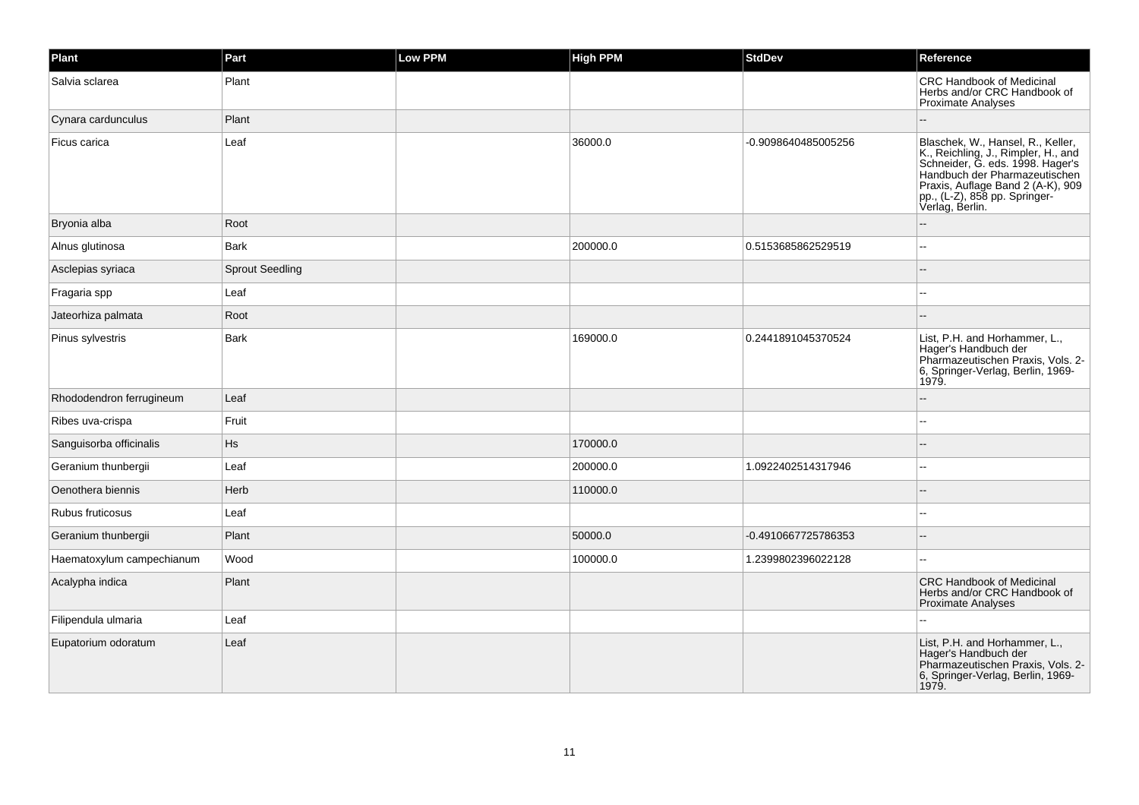| Plant                     | Part                   | Low PPM | <b>High PPM</b> | <b>StdDev</b>       | Reference                                                                                                                                                                                                                              |
|---------------------------|------------------------|---------|-----------------|---------------------|----------------------------------------------------------------------------------------------------------------------------------------------------------------------------------------------------------------------------------------|
| Salvia sclarea            | Plant                  |         |                 |                     | <b>CRC Handbook of Medicinal</b><br>Herbs and/or CRC Handbook of<br>Proximate Analyses                                                                                                                                                 |
| Cynara cardunculus        | Plant                  |         |                 |                     |                                                                                                                                                                                                                                        |
| Ficus carica              | Leaf                   |         | 36000.0         | -0.9098640485005256 | Blaschek, W., Hansel, R., Keller,<br>K., Reichling, J., Rimpler, H., and<br>Schneider, G. eds. 1998. Hager's<br>Handbuch der Pharmazeutischen<br>Praxis, Auflage Band 2 (A-K), 909<br>pp., (L-Z), 858 pp. Springer-<br>Verlag, Berlin. |
| Bryonia alba              | Root                   |         |                 |                     |                                                                                                                                                                                                                                        |
| Alnus glutinosa           | Bark                   |         | 200000.0        | 0.5153685862529519  | --                                                                                                                                                                                                                                     |
| Asclepias syriaca         | <b>Sprout Seedling</b> |         |                 |                     |                                                                                                                                                                                                                                        |
| Fragaria spp              | Leaf                   |         |                 |                     |                                                                                                                                                                                                                                        |
| Jateorhiza palmata        | Root                   |         |                 |                     |                                                                                                                                                                                                                                        |
| Pinus sylvestris          | Bark                   |         | 169000.0        | 0.2441891045370524  | List, P.H. and Horhammer, L.,<br>Hager's Handbuch der<br>Pharmazeutischen Praxis, Vols. 2-<br>6, Springer-Verlag, Berlin, 1969-<br>1979.                                                                                               |
| Rhododendron ferrugineum  | Leaf                   |         |                 |                     |                                                                                                                                                                                                                                        |
| Ribes uva-crispa          | Fruit                  |         |                 |                     |                                                                                                                                                                                                                                        |
| Sanguisorba officinalis   | Hs                     |         | 170000.0        |                     |                                                                                                                                                                                                                                        |
| Geranium thunbergii       | Leaf                   |         | 200000.0        | 1.0922402514317946  |                                                                                                                                                                                                                                        |
| Oenothera biennis         | Herb                   |         | 110000.0        |                     |                                                                                                                                                                                                                                        |
| Rubus fruticosus          | Leaf                   |         |                 |                     | --                                                                                                                                                                                                                                     |
| Geranium thunbergii       | Plant                  |         | 50000.0         | -0.4910667725786353 |                                                                                                                                                                                                                                        |
| Haematoxylum campechianum | Wood                   |         | 100000.0        | 1.2399802396022128  | --                                                                                                                                                                                                                                     |
| Acalypha indica           | Plant                  |         |                 |                     | <b>CRC Handbook of Medicinal</b><br>Herbs and/or CRC Handbook of<br><b>Proximate Analyses</b>                                                                                                                                          |
| Filipendula ulmaria       | Leaf                   |         |                 |                     |                                                                                                                                                                                                                                        |
| Eupatorium odoratum       | Leaf                   |         |                 |                     | List, P.H. and Horhammer, L.,<br>Hager's Handbuch der<br>Pharmazeutischen Praxis, Vols. 2-<br>6, Springer-Verlag, Berlin, 1969-<br>1979.                                                                                               |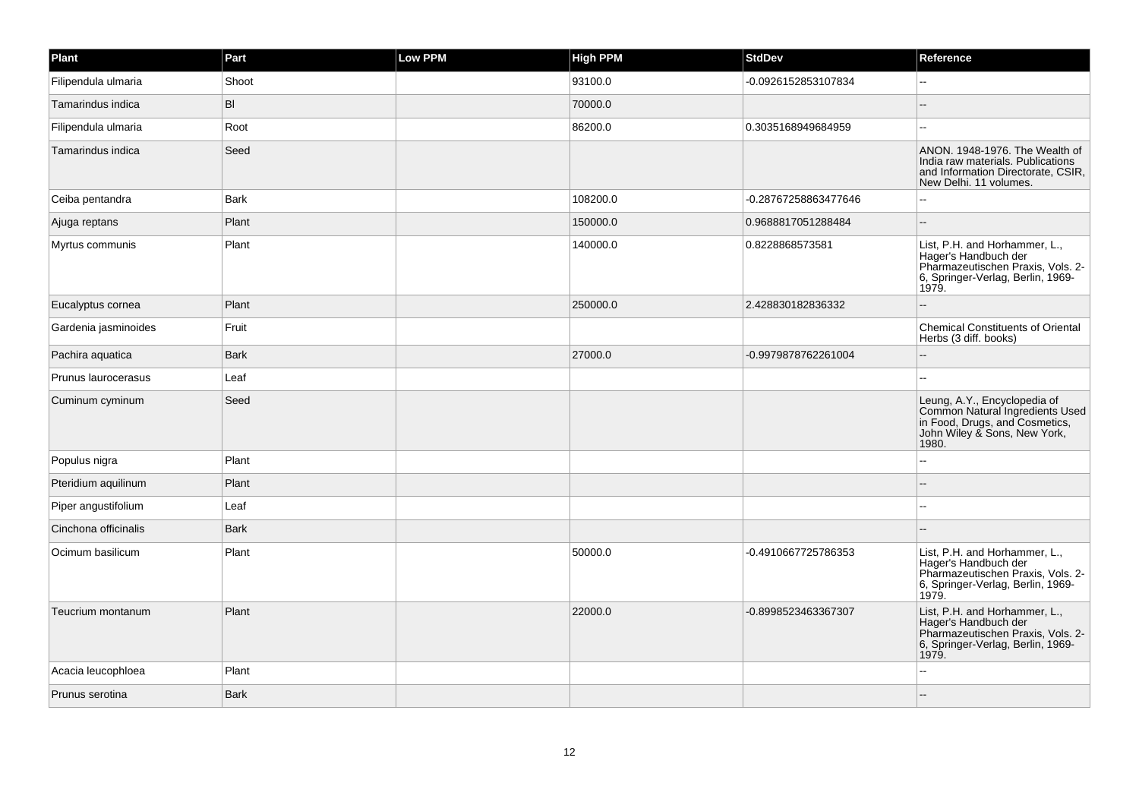| Plant                | Part        | Low PPM | <b>High PPM</b> | <b>StdDev</b>        | Reference                                                                                                                                  |
|----------------------|-------------|---------|-----------------|----------------------|--------------------------------------------------------------------------------------------------------------------------------------------|
| Filipendula ulmaria  | Shoot       |         | 93100.0         | -0.0926152853107834  |                                                                                                                                            |
| Tamarindus indica    | BI          |         | 70000.0         |                      |                                                                                                                                            |
| Filipendula ulmaria  | Root        |         | 86200.0         | 0.3035168949684959   | $\overline{a}$                                                                                                                             |
| Tamarindus indica    | Seed        |         |                 |                      | ANON. 1948-1976. The Wealth of<br>India raw materials. Publications<br>and Information Directorate, CSIR,<br>New Delhi. 11 volumes.        |
| Ceiba pentandra      | Bark        |         | 108200.0        | -0.28767258863477646 |                                                                                                                                            |
| Ajuga reptans        | Plant       |         | 150000.0        | 0.9688817051288484   |                                                                                                                                            |
| Myrtus communis      | Plant       |         | 140000.0        | 0.8228868573581      | List, P.H. and Horhammer, L.,<br>Hager's Handbuch der<br>Pharmazeutischen Praxis, Vols. 2-<br>6, Springer-Verlag, Berlin, 1969-<br>1979.   |
| Eucalyptus cornea    | Plant       |         | 250000.0        | 2.428830182836332    |                                                                                                                                            |
| Gardenia jasminoides | Fruit       |         |                 |                      | <b>Chemical Constituents of Oriental</b><br>Herbs (3 diff. books)                                                                          |
| Pachira aquatica     | <b>Bark</b> |         | 27000.0         | -0.9979878762261004  |                                                                                                                                            |
| Prunus laurocerasus  | Leaf        |         |                 |                      |                                                                                                                                            |
| Cuminum cyminum      | Seed        |         |                 |                      | Leung, A.Y., Encyclopedia of<br>Common Natural Ingredients Used<br>in Food, Drugs, and Cosmetics,<br>John Wiley & Sons, New York,<br>1980. |
| Populus nigra        | Plant       |         |                 |                      |                                                                                                                                            |
| Pteridium aquilinum  | Plant       |         |                 |                      |                                                                                                                                            |
| Piper angustifolium  | Leaf        |         |                 |                      |                                                                                                                                            |
| Cinchona officinalis | <b>Bark</b> |         |                 |                      |                                                                                                                                            |
| Ocimum basilicum     | Plant       |         | 50000.0         | -0.4910667725786353  | List, P.H. and Horhammer, L.,<br>Hager's Handbuch der<br>Pharmazeutischen Praxis, Vols. 2-<br>6, Springer-Verlag, Berlin, 1969-<br>1979.   |
| Teucrium montanum    | Plant       |         | 22000.0         | -0.8998523463367307  | List, P.H. and Horhammer, L.,<br>Hager's Handbuch der<br>Pharmazeutischen Praxis, Vols. 2-<br>6, Springer-Verlag, Berlin, 1969-<br>1979.   |
| Acacia leucophloea   | Plant       |         |                 |                      |                                                                                                                                            |
| Prunus serotina      | <b>Bark</b> |         |                 |                      |                                                                                                                                            |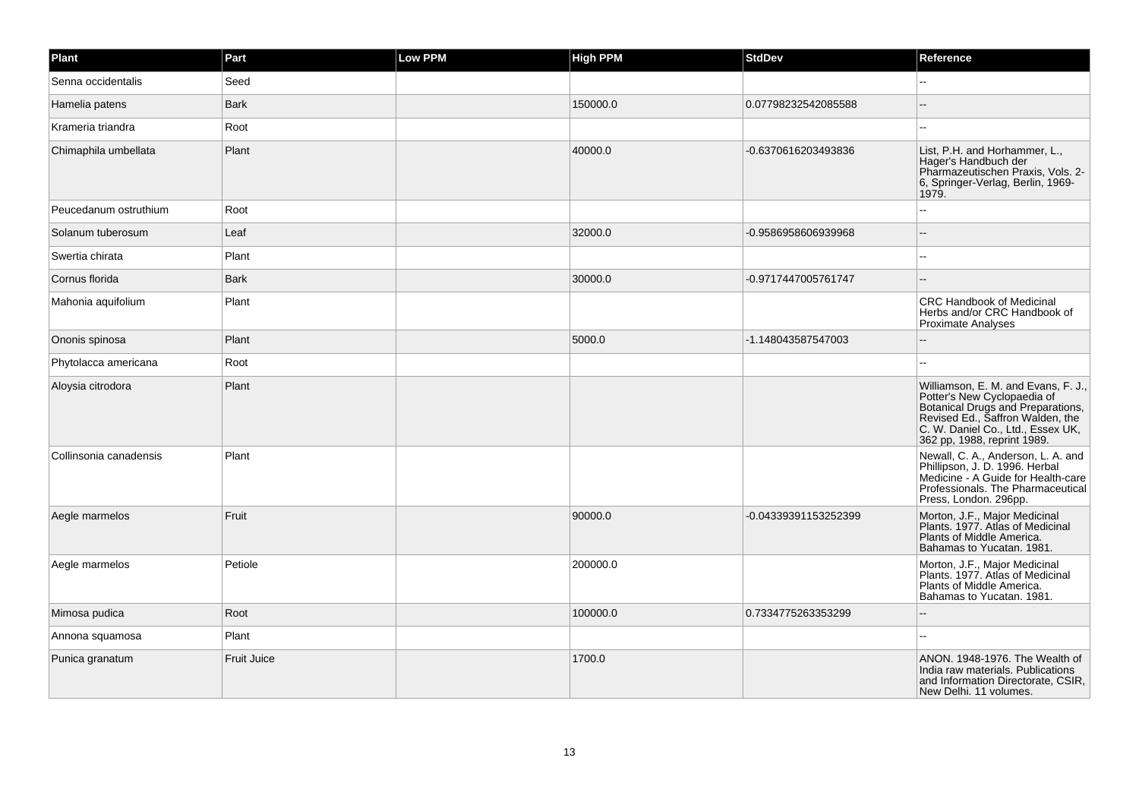| Plant                  | Part               | Low PPM | <b>High PPM</b> | <b>StdDev</b>        | Reference                                                                                                                                                                                                       |
|------------------------|--------------------|---------|-----------------|----------------------|-----------------------------------------------------------------------------------------------------------------------------------------------------------------------------------------------------------------|
| Senna occidentalis     | Seed               |         |                 |                      |                                                                                                                                                                                                                 |
| Hamelia patens         | <b>Bark</b>        |         | 150000.0        | 0.07798232542085588  |                                                                                                                                                                                                                 |
| Krameria triandra      | Root               |         |                 |                      |                                                                                                                                                                                                                 |
| Chimaphila umbellata   | Plant              |         | 40000.0         | -0.6370616203493836  | List, P.H. and Horhammer, L.,<br>Hager's Handbuch der<br>Pharmazeutischen Praxis, Vols. 2-<br>6, Springer-Verlag, Berlin, 1969-<br>1979.                                                                        |
| Peucedanum ostruthium  | Root               |         |                 |                      |                                                                                                                                                                                                                 |
| Solanum tuberosum      | Leaf               |         | 32000.0         | -0.9586958606939968  | --                                                                                                                                                                                                              |
| Swertia chirata        | Plant              |         |                 |                      |                                                                                                                                                                                                                 |
| Cornus florida         | <b>Bark</b>        |         | 30000.0         | -0.9717447005761747  | $\sim$                                                                                                                                                                                                          |
| Mahonia aquifolium     | Plant              |         |                 |                      | <b>CRC Handbook of Medicinal</b><br>Herbs and/or CRC Handbook of<br><b>Proximate Analyses</b>                                                                                                                   |
| Ononis spinosa         | Plant              |         | 5000.0          | -1.148043587547003   |                                                                                                                                                                                                                 |
| Phytolacca americana   | Root               |         |                 |                      | $\sim$                                                                                                                                                                                                          |
| Aloysia citrodora      | Plant              |         |                 |                      | Williamson, E. M. and Evans, F. J.,<br>Potter's New Cyclopaedia of<br>Botanical Drugs and Preparations,<br>Revised Ed., Saffron Walden, the<br>C. W. Daniel Co., Ltd., Essex UK,<br>362 pp, 1988, reprint 1989. |
| Collinsonia canadensis | Plant              |         |                 |                      | Newall, C. A., Anderson, L. A. and<br>Phillipson, J. D. 1996. Herbal<br>Medicine - A Guide for Health-care<br>Professionals. The Pharmaceutical<br>Press, London. 296pp.                                        |
| Aegle marmelos         | Fruit              |         | 90000.0         | -0.04339391153252399 | Morton, J.F., Major Medicinal<br>Plants, 1977. Atlas of Medicinal<br>Plants of Middle America.<br>Bahamas to Yucatan. 1981.                                                                                     |
| Aegle marmelos         | Petiole            |         | 200000.0        |                      | Morton, J.F., Major Medicinal<br>Plants. 1977. Atlas of Medicinal<br>Plants of Middle America.<br>Bahamas to Yucatan. 1981.                                                                                     |
| Mimosa pudica          | Root               |         | 100000.0        | 0.7334775263353299   |                                                                                                                                                                                                                 |
| Annona squamosa        | Plant              |         |                 |                      |                                                                                                                                                                                                                 |
| Punica granatum        | <b>Fruit Juice</b> |         | 1700.0          |                      | ANON. 1948-1976. The Wealth of<br>India raw materials. Publications<br>and Information Directorate, CSIR,<br>New Delhi. 11 volumes.                                                                             |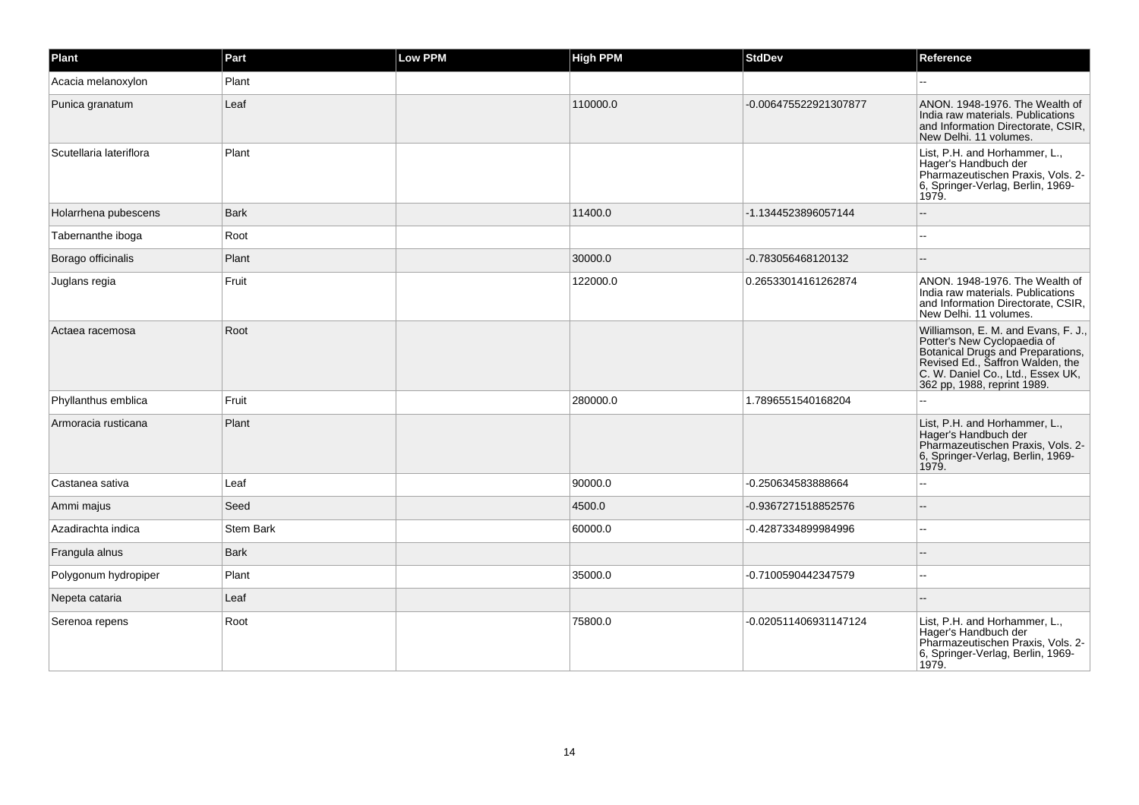| Plant                   | Part             | Low PPM | <b>High PPM</b> | <b>StdDev</b>         | Reference                                                                                                                                                                                                       |
|-------------------------|------------------|---------|-----------------|-----------------------|-----------------------------------------------------------------------------------------------------------------------------------------------------------------------------------------------------------------|
| Acacia melanoxylon      | Plant            |         |                 |                       |                                                                                                                                                                                                                 |
| Punica granatum         | Leaf             |         | 110000.0        | -0.006475522921307877 | ANON. 1948-1976. The Wealth of<br>India raw materials. Publications<br>and Information Directorate, CSIR,<br>New Delhi. 11 volumes.                                                                             |
| Scutellaria lateriflora | Plant            |         |                 |                       | List, P.H. and Horhammer, L.,<br>Hager's Handbuch der<br>Pharmazeutischen Praxis, Vols. 2-<br>6, Springer-Verlag, Berlin, 1969-<br>1979.                                                                        |
| Holarrhena pubescens    | <b>Bark</b>      |         | 11400.0         | -1.1344523896057144   |                                                                                                                                                                                                                 |
| Tabernanthe iboga       | Root             |         |                 |                       |                                                                                                                                                                                                                 |
| Borago officinalis      | Plant            |         | 30000.0         | -0.783056468120132    |                                                                                                                                                                                                                 |
| Juglans regia           | Fruit            |         | 122000.0        | 0.26533014161262874   | ANON. 1948-1976. The Wealth of<br>India raw materials. Publications<br>and Information Directorate, CSIR,<br>New Delhi. 11 volumes.                                                                             |
| Actaea racemosa         | Root             |         |                 |                       | Williamson, E. M. and Evans, F. J.,<br>Potter's New Cyclopaedia of<br>Botanical Drugs and Preparations,<br>Revised Ed., Saffron Walden, the<br>C. W. Daniel Co., Ltd., Essex UK,<br>362 pp, 1988, reprint 1989. |
| Phyllanthus emblica     | Fruit            |         | 280000.0        | 1.7896551540168204    |                                                                                                                                                                                                                 |
| Armoracia rusticana     | Plant            |         |                 |                       | List, P.H. and Horhammer, L.,<br>Hager's Handbuch der<br>Pharmazeutischen Praxis, Vols. 2-<br>6, Springer-Verlag, Berlin, 1969-<br>1979.                                                                        |
| Castanea sativa         | Leaf             |         | 90000.0         | -0.250634583888664    |                                                                                                                                                                                                                 |
| Ammi majus              | Seed             |         | 4500.0          | -0.9367271518852576   |                                                                                                                                                                                                                 |
| Azadirachta indica      | <b>Stem Bark</b> |         | 60000.0         | -0.4287334899984996   |                                                                                                                                                                                                                 |
| Frangula alnus          | <b>Bark</b>      |         |                 |                       |                                                                                                                                                                                                                 |
| Polygonum hydropiper    | Plant            |         | 35000.0         | -0.7100590442347579   |                                                                                                                                                                                                                 |
| Nepeta cataria          | Leaf             |         |                 |                       |                                                                                                                                                                                                                 |
| Serenoa repens          | Root             |         | 75800.0         | -0.020511406931147124 | List, P.H. and Horhammer, L.,<br>Hager's Handbuch der<br>Pharmazeutischen Praxis, Vols. 2-<br>6, Springer-Verlag, Berlin, 1969-<br>1979.                                                                        |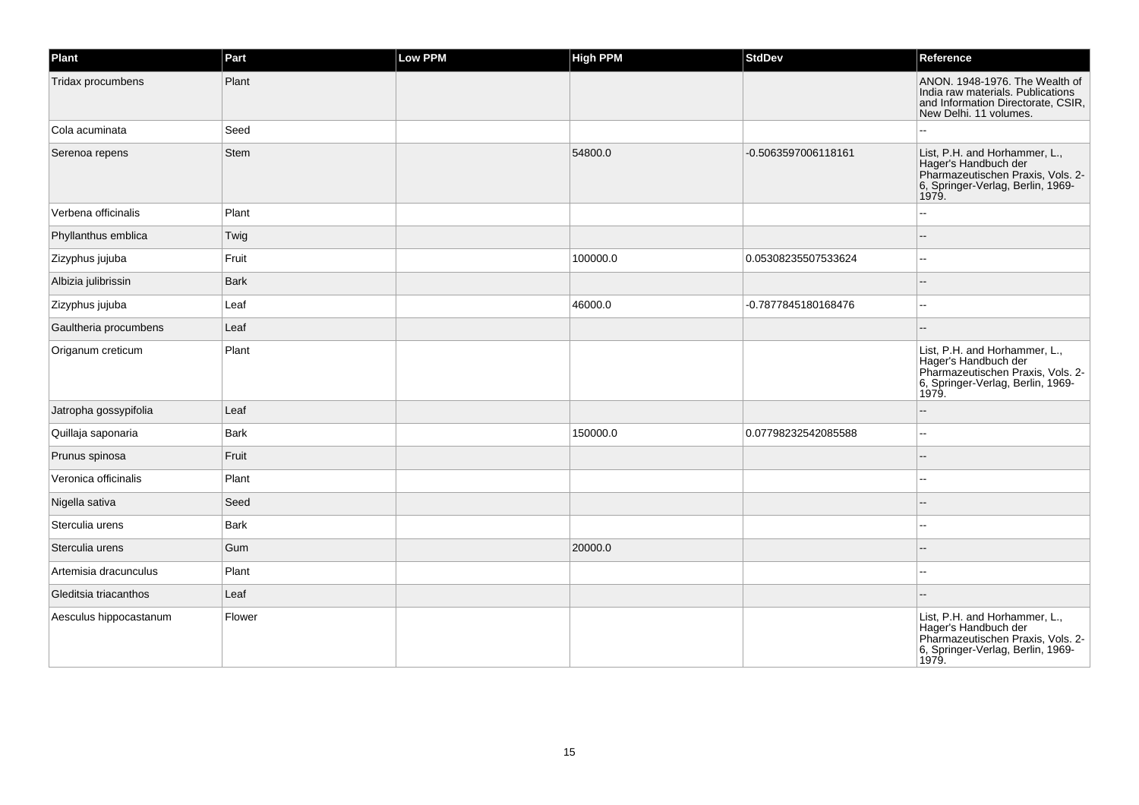| Plant                  | Part        | <b>Low PPM</b> | <b>High PPM</b> | <b>StdDev</b>       | Reference                                                                                                                                |
|------------------------|-------------|----------------|-----------------|---------------------|------------------------------------------------------------------------------------------------------------------------------------------|
| Tridax procumbens      | Plant       |                |                 |                     | ANON. 1948-1976. The Wealth of<br>India raw materials. Publications<br>and Information Directorate, CSIR,<br>New Delhi. 11 volumes.      |
| Cola acuminata         | Seed        |                |                 |                     |                                                                                                                                          |
| Serenoa repens         | Stem        |                | 54800.0         | -0.5063597006118161 | List, P.H. and Horhammer, L.,<br>Hager's Handbuch der<br>Pharmazeutischen Praxis, Vols. 2-<br>6, Springer-Verlag, Berlin, 1969-<br>1979. |
| Verbena officinalis    | Plant       |                |                 |                     |                                                                                                                                          |
| Phyllanthus emblica    | Twig        |                |                 |                     |                                                                                                                                          |
| Zizyphus jujuba        | Fruit       |                | 100000.0        | 0.05308235507533624 |                                                                                                                                          |
| Albizia julibrissin    | <b>Bark</b> |                |                 |                     |                                                                                                                                          |
| Zizyphus jujuba        | Leaf        |                | 46000.0         | -0.7877845180168476 |                                                                                                                                          |
| Gaultheria procumbens  | Leaf        |                |                 |                     |                                                                                                                                          |
| Origanum creticum      | Plant       |                |                 |                     | List, P.H. and Horhammer, L.,<br>Hager's Handbuch der<br>Pharmazeutischen Praxis, Vols. 2-<br>6, Springer-Verlag, Berlin, 1969-<br>1979. |
| Jatropha gossypifolia  | Leaf        |                |                 |                     |                                                                                                                                          |
| Quillaja saponaria     | <b>Bark</b> |                | 150000.0        | 0.07798232542085588 | $\sim$                                                                                                                                   |
| Prunus spinosa         | Fruit       |                |                 |                     |                                                                                                                                          |
| Veronica officinalis   | Plant       |                |                 |                     | --                                                                                                                                       |
| Nigella sativa         | Seed        |                |                 |                     |                                                                                                                                          |
| Sterculia urens        | <b>Bark</b> |                |                 |                     | $\overline{a}$                                                                                                                           |
| Sterculia urens        | Gum         |                | 20000.0         |                     |                                                                                                                                          |
| Artemisia dracunculus  | Plant       |                |                 |                     |                                                                                                                                          |
| Gleditsia triacanthos  | Leaf        |                |                 |                     |                                                                                                                                          |
| Aesculus hippocastanum | Flower      |                |                 |                     | List, P.H. and Horhammer, L.,<br>Hager's Handbuch der<br>Pharmazeutischen Praxis, Vols. 2-<br>6, Springer-Verlag, Berlin, 1969-<br>1979. |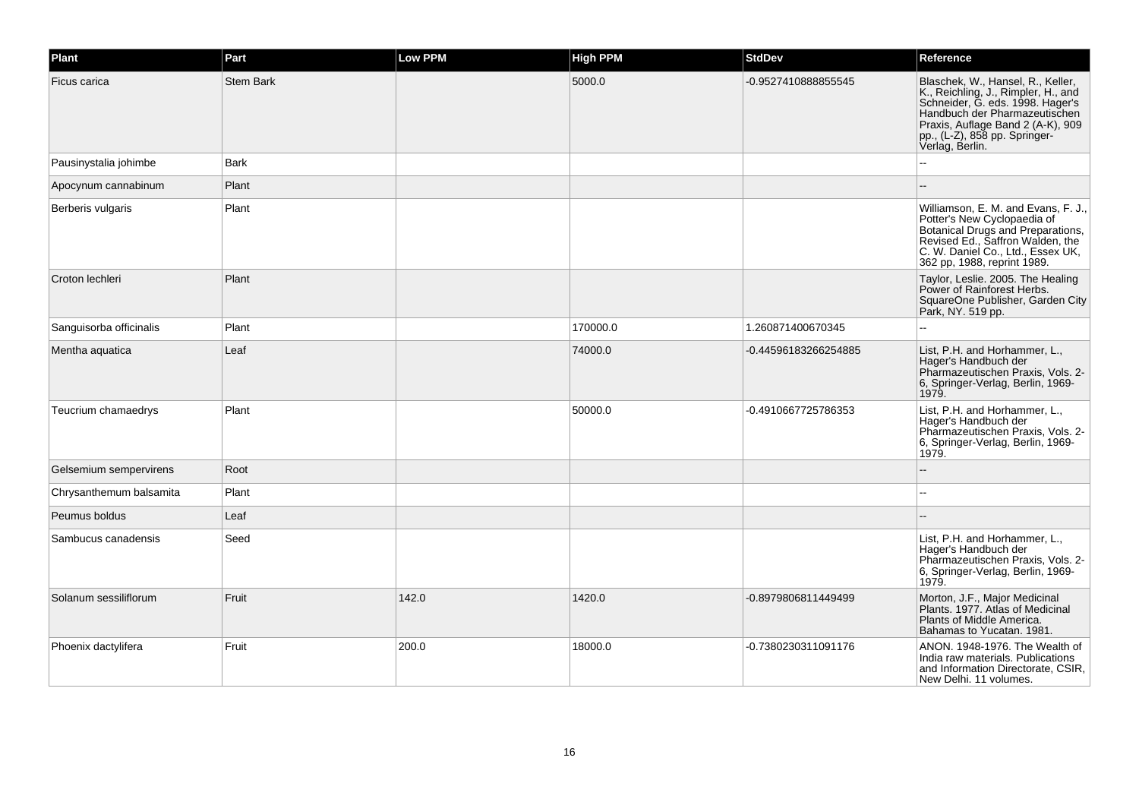| Plant                   | Part             | Low PPM | <b>High PPM</b> | <b>StdDev</b>        | Reference                                                                                                                                                                                                                              |
|-------------------------|------------------|---------|-----------------|----------------------|----------------------------------------------------------------------------------------------------------------------------------------------------------------------------------------------------------------------------------------|
| Ficus carica            | <b>Stem Bark</b> |         | 5000.0          | -0.9527410888855545  | Blaschek, W., Hansel, R., Keller,<br>K., Reichling, J., Rimpler, H., and<br>Schneider, G. eds. 1998. Hager's<br>Handbuch der Pharmazeutischen<br>Praxis, Auflage Band 2 (A-K), 909<br>pp., (L-Z), 858 pp. Springer-<br>Verlag, Berlin. |
| Pausinystalia johimbe   | <b>Bark</b>      |         |                 |                      |                                                                                                                                                                                                                                        |
| Apocynum cannabinum     | Plant            |         |                 |                      |                                                                                                                                                                                                                                        |
| Berberis vulgaris       | Plant            |         |                 |                      | Williamson, E. M. and Evans, F. J.,<br>Potter's New Cyclopaedia of<br>Botanical Drugs and Preparations,<br>Revised Ed., Saffron Walden, the<br>C. W. Daniel Co., Ltd., Essex UK,<br>362 pp, 1988, reprint 1989.                        |
| Croton lechleri         | Plant            |         |                 |                      | Taylor, Leslie. 2005. The Healing<br>Power of Rainforest Herbs.<br>SquareOne Publisher, Garden City<br>Park, NY. 519 pp.                                                                                                               |
| Sanguisorba officinalis | Plant            |         | 170000.0        | 1.260871400670345    |                                                                                                                                                                                                                                        |
| Mentha aquatica         | Leaf             |         | 74000.0         | -0.44596183266254885 | List, P.H. and Horhammer, L.,<br>Hager's Handbuch der<br>Pharmazeutischen Praxis, Vols. 2-<br>6, Springer-Verlag, Berlin, 1969-<br>1979.                                                                                               |
| Teucrium chamaedrys     | Plant            |         | 50000.0         | -0.4910667725786353  | List, P.H. and Horhammer, L.,<br>Hager's Handbuch der<br>Pharmazeutischen Praxis, Vols. 2-<br>6, Springer-Verlag, Berlin, 1969-<br>1979.                                                                                               |
| Gelsemium sempervirens  | Root             |         |                 |                      |                                                                                                                                                                                                                                        |
| Chrysanthemum balsamita | Plant            |         |                 |                      |                                                                                                                                                                                                                                        |
| Peumus boldus           | Leaf             |         |                 |                      |                                                                                                                                                                                                                                        |
| Sambucus canadensis     | Seed             |         |                 |                      | List, P.H. and Horhammer, L.,<br>Hager's Handbuch der<br>Pharmazeutischen Praxis, Vols. 2-<br>6, Springer-Verlag, Berlin, 1969-<br>1979.                                                                                               |
| Solanum sessiliflorum   | Fruit            | 142.0   | 1420.0          | -0.8979806811449499  | Morton, J.F., Major Medicinal<br>Plants. 1977. Atlas of Medicinal<br>Plants of Middle America.<br>Bahamas to Yucatan. 1981.                                                                                                            |
| Phoenix dactylifera     | Fruit            | 200.0   | 18000.0         | -0.7380230311091176  | ANON. 1948-1976. The Wealth of<br>India raw materials. Publications<br>and Information Directorate, CSIR,<br>New Delhi. 11 volumes.                                                                                                    |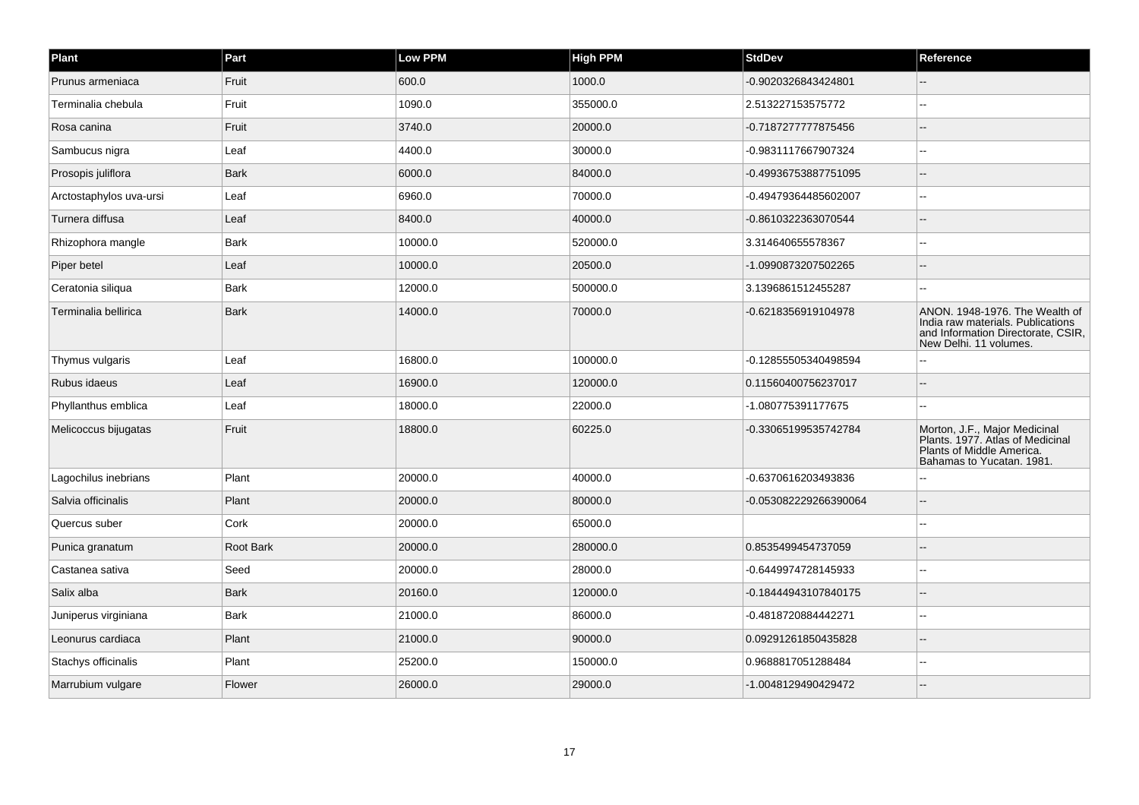| Plant                   | Part        | Low PPM | <b>High PPM</b> | <b>StdDev</b>         | Reference                                                                                                                           |
|-------------------------|-------------|---------|-----------------|-----------------------|-------------------------------------------------------------------------------------------------------------------------------------|
| Prunus armeniaca        | Fruit       | 600.0   | 1000.0          | -0.9020326843424801   |                                                                                                                                     |
| Terminalia chebula      | Fruit       | 1090.0  | 355000.0        | 2.513227153575772     | $\sim$                                                                                                                              |
| Rosa canina             | Fruit       | 3740.0  | 20000.0         | -0.7187277777875456   |                                                                                                                                     |
| Sambucus nigra          | Leaf        | 4400.0  | 30000.0         | -0.9831117667907324   |                                                                                                                                     |
| Prosopis juliflora      | <b>Bark</b> | 6000.0  | 84000.0         | -0.49936753887751095  | $\overline{a}$                                                                                                                      |
| Arctostaphylos uva-ursi | Leaf        | 6960.0  | 70000.0         | -0.49479364485602007  |                                                                                                                                     |
| Turnera diffusa         | Leaf        | 8400.0  | 40000.0         | -0.8610322363070544   |                                                                                                                                     |
| Rhizophora mangle       | <b>Bark</b> | 10000.0 | 520000.0        | 3.314640655578367     | $\overline{a}$                                                                                                                      |
| Piper betel             | Leaf        | 10000.0 | 20500.0         | -1.0990873207502265   |                                                                                                                                     |
| Ceratonia siliqua       | <b>Bark</b> | 12000.0 | 500000.0        | 3.1396861512455287    |                                                                                                                                     |
| Terminalia bellirica    | <b>Bark</b> | 14000.0 | 70000.0         | -0.6218356919104978   | ANON. 1948-1976. The Wealth of<br>India raw materials. Publications<br>and Information Directorate, CSIR,<br>New Delhi. 11 volumes. |
| Thymus vulgaris         | Leaf        | 16800.0 | 100000.0        | -0.12855505340498594  |                                                                                                                                     |
| Rubus idaeus            | Leaf        | 16900.0 | 120000.0        | 0.11560400756237017   |                                                                                                                                     |
| Phyllanthus emblica     | Leaf        | 18000.0 | 22000.0         | -1.080775391177675    | $\overline{a}$                                                                                                                      |
| Melicoccus bijugatas    | Fruit       | 18800.0 | 60225.0         | -0.33065199535742784  | Morton, J.F., Major Medicinal<br>Plants. 1977. Atlas of Medicinal<br>Plants of Middle America.<br>Bahamas to Yucatan. 1981.         |
| Lagochilus inebrians    | Plant       | 20000.0 | 40000.0         | -0.6370616203493836   |                                                                                                                                     |
| Salvia officinalis      | Plant       | 20000.0 | 80000.0         | -0.053082229266390064 |                                                                                                                                     |
| Quercus suber           | Cork        | 20000.0 | 65000.0         |                       |                                                                                                                                     |
| Punica granatum         | Root Bark   | 20000.0 | 280000.0        | 0.8535499454737059    |                                                                                                                                     |
| Castanea sativa         | Seed        | 20000.0 | 28000.0         | -0.6449974728145933   |                                                                                                                                     |
| Salix alba              | <b>Bark</b> | 20160.0 | 120000.0        | -0.18444943107840175  |                                                                                                                                     |
| Juniperus virginiana    | <b>Bark</b> | 21000.0 | 86000.0         | -0.4818720884442271   |                                                                                                                                     |
| Leonurus cardiaca       | Plant       | 21000.0 | 90000.0         | 0.09291261850435828   |                                                                                                                                     |
| Stachys officinalis     | Plant       | 25200.0 | 150000.0        | 0.9688817051288484    |                                                                                                                                     |
| Marrubium vulgare       | Flower      | 26000.0 | 29000.0         | -1.0048129490429472   |                                                                                                                                     |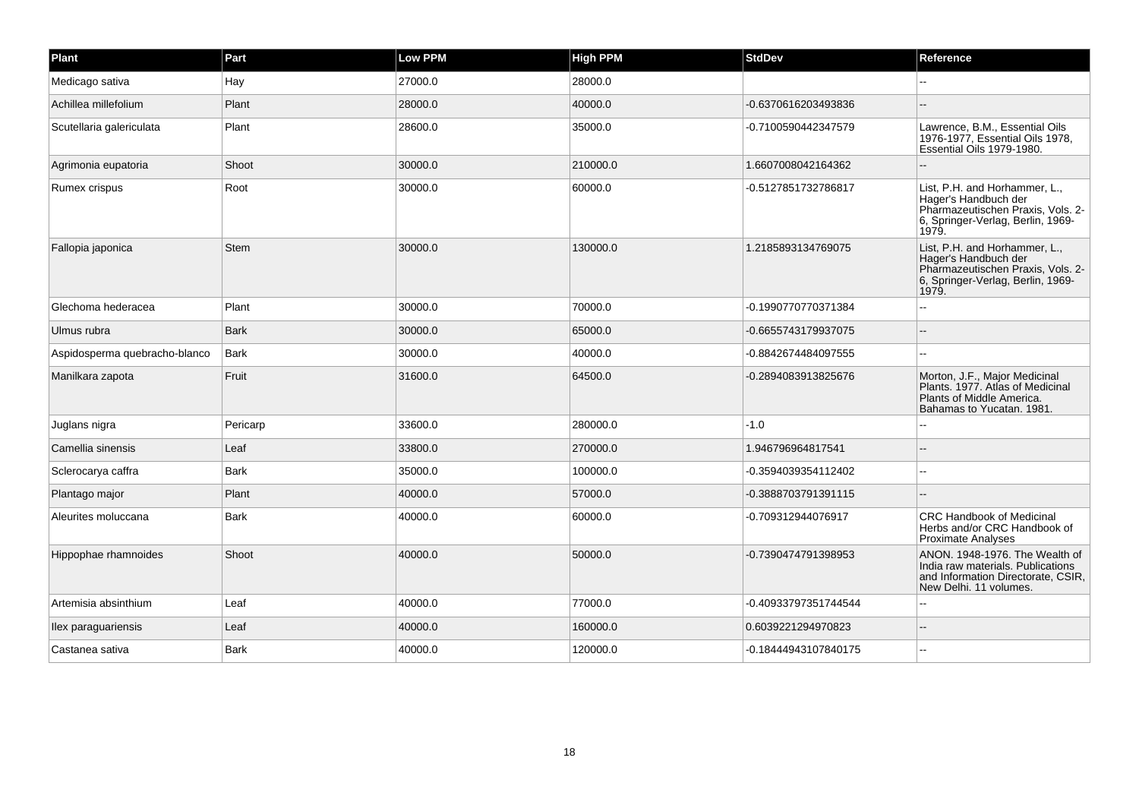| Plant                         | Part        | <b>Low PPM</b> | <b>High PPM</b> | <b>StdDev</b>        | Reference                                                                                                                                |
|-------------------------------|-------------|----------------|-----------------|----------------------|------------------------------------------------------------------------------------------------------------------------------------------|
| Medicago sativa               | Hay         | 27000.0        | 28000.0         |                      |                                                                                                                                          |
| Achillea millefolium          | Plant       | 28000.0        | 40000.0         | -0.6370616203493836  |                                                                                                                                          |
| Scutellaria galericulata      | Plant       | 28600.0        | 35000.0         | -0.7100590442347579  | Lawrence, B.M., Essential Oils<br>1976-1977, Essential Oils 1978,<br>Essential Oils 1979-1980.                                           |
| Agrimonia eupatoria           | Shoot       | 30000.0        | 210000.0        | 1.6607008042164362   |                                                                                                                                          |
| Rumex crispus                 | Root        | 30000.0        | 60000.0         | -0.5127851732786817  | List, P.H. and Horhammer, L.,<br>Hager's Handbuch der<br>Pharmazeutischen Praxis, Vols. 2-<br>6, Springer-Verlag, Berlin, 1969-<br>1979. |
| Fallopia japonica             | Stem        | 30000.0        | 130000.0        | 1.2185893134769075   | List, P.H. and Horhammer, L.,<br>Hager's Handbuch der<br>Pharmazeutischen Praxis, Vols. 2-<br>6, Springer-Verlag, Berlin, 1969-<br>1979. |
| Glechoma hederacea            | Plant       | 30000.0        | 70000.0         | -0.1990770770371384  |                                                                                                                                          |
| Ulmus rubra                   | <b>Bark</b> | 30000.0        | 65000.0         | -0.6655743179937075  |                                                                                                                                          |
| Aspidosperma quebracho-blanco | Bark        | 30000.0        | 40000.0         | -0.8842674484097555  |                                                                                                                                          |
| Manilkara zapota              | Fruit       | 31600.0        | 64500.0         | -0.2894083913825676  | Morton, J.F., Major Medicinal<br>Plants. 1977. Atlas of Medicinal<br>Plants of Middle America.<br>Bahamas to Yucatan. 1981.              |
| Juglans nigra                 | Pericarp    | 33600.0        | 280000.0        | $-1.0$               |                                                                                                                                          |
| Camellia sinensis             | Leaf        | 33800.0        | 270000.0        | 1.946796964817541    |                                                                                                                                          |
| Sclerocarya caffra            | <b>Bark</b> | 35000.0        | 100000.0        | -0.3594039354112402  |                                                                                                                                          |
| Plantago major                | Plant       | 40000.0        | 57000.0         | -0.3888703791391115  |                                                                                                                                          |
| Aleurites moluccana           | Bark        | 40000.0        | 60000.0         | -0.709312944076917   | <b>CRC Handbook of Medicinal</b><br>Herbs and/or CRC Handbook of<br><b>Proximate Analyses</b>                                            |
| Hippophae rhamnoides          | Shoot       | 40000.0        | 50000.0         | -0.7390474791398953  | ANON. 1948-1976. The Wealth of<br>India raw materials. Publications<br>and Information Directorate, CSIR,<br>New Delhi. 11 volumes.      |
| Artemisia absinthium          | Leaf        | 40000.0        | 77000.0         | -0.40933797351744544 |                                                                                                                                          |
| llex paraguariensis           | Leaf        | 40000.0        | 160000.0        | 0.6039221294970823   |                                                                                                                                          |
| Castanea sativa               | Bark        | 40000.0        | 120000.0        | -0.18444943107840175 |                                                                                                                                          |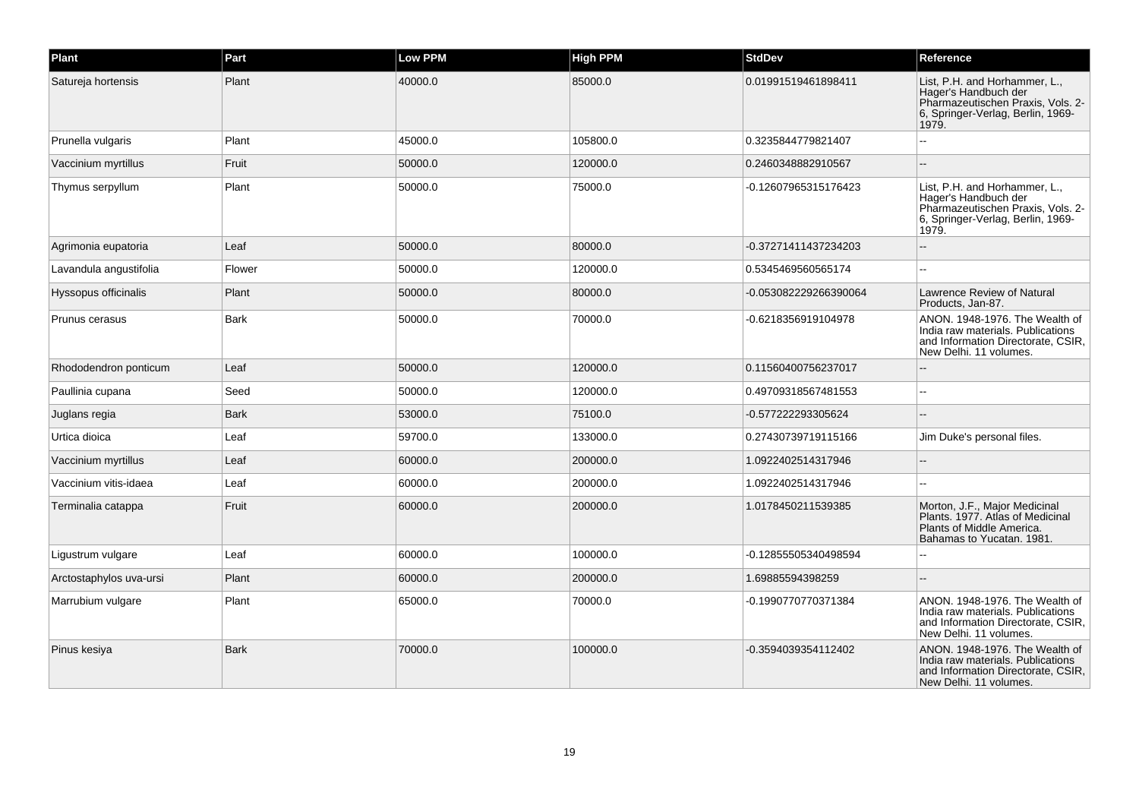| Plant                   | Part        | <b>Low PPM</b> | <b>High PPM</b> | <b>StdDev</b>         | Reference                                                                                                                                |
|-------------------------|-------------|----------------|-----------------|-----------------------|------------------------------------------------------------------------------------------------------------------------------------------|
| Satureja hortensis      | Plant       | 40000.0        | 85000.0         | 0.01991519461898411   | List, P.H. and Horhammer, L.,<br>Hager's Handbuch der<br>Pharmazeutischen Praxis, Vols. 2-<br>6, Springer-Verlag, Berlin, 1969-<br>1979. |
| Prunella vulgaris       | Plant       | 45000.0        | 105800.0        | 0.3235844779821407    |                                                                                                                                          |
| Vaccinium myrtillus     | Fruit       | 50000.0        | 120000.0        | 0.2460348882910567    |                                                                                                                                          |
| Thymus serpyllum        | Plant       | 50000.0        | 75000.0         | -0.12607965315176423  | List, P.H. and Horhammer, L.,<br>Hager's Handbuch der<br>Pharmazeutischen Praxis, Vols. 2-<br>6, Springer-Verlag, Berlin, 1969-<br>1979. |
| Agrimonia eupatoria     | Leaf        | 50000.0        | 80000.0         | -0.37271411437234203  |                                                                                                                                          |
| Lavandula angustifolia  | Flower      | 50000.0        | 120000.0        | 0.5345469560565174    |                                                                                                                                          |
| Hyssopus officinalis    | Plant       | 50000.0        | 80000.0         | -0.053082229266390064 | Lawrence Review of Natural<br>Products, Jan-87.                                                                                          |
| Prunus cerasus          | Bark        | 50000.0        | 70000.0         | -0.6218356919104978   | ANON. 1948-1976. The Wealth of<br>India raw materials. Publications<br>and Information Directorate, CSIR,<br>New Delhi. 11 volumes.      |
| Rhododendron ponticum   | Leaf        | 50000.0        | 120000.0        | 0.11560400756237017   |                                                                                                                                          |
| Paullinia cupana        | Seed        | 50000.0        | 120000.0        | 0.49709318567481553   |                                                                                                                                          |
| Juglans regia           | Bark        | 53000.0        | 75100.0         | -0.577222293305624    |                                                                                                                                          |
| Urtica dioica           | Leaf        | 59700.0        | 133000.0        | 0.27430739719115166   | Jim Duke's personal files.                                                                                                               |
| Vaccinium myrtillus     | Leaf        | 60000.0        | 200000.0        | 1.0922402514317946    |                                                                                                                                          |
| Vaccinium vitis-idaea   | Leaf        | 60000.0        | 200000.0        | 1.0922402514317946    |                                                                                                                                          |
| Terminalia catappa      | Fruit       | 60000.0        | 200000.0        | 1.0178450211539385    | Morton, J.F., Major Medicinal<br>Plants, 1977. Atlas of Medicinal<br>Plants of Middle America.<br>Bahamas to Yucatan. 1981.              |
| Ligustrum vulgare       | Leaf        | 60000.0        | 100000.0        | -0.12855505340498594  |                                                                                                                                          |
| Arctostaphylos uva-ursi | Plant       | 60000.0        | 200000.0        | 1.69885594398259      |                                                                                                                                          |
| Marrubium vulgare       | Plant       | 65000.0        | 70000.0         | -0.1990770770371384   | ANON. 1948-1976. The Wealth of<br>India raw materials. Publications<br>and Information Directorate, CSIR,<br>New Delhi. 11 volumes.      |
| Pinus kesiya            | <b>Bark</b> | 70000.0        | 100000.0        | -0.3594039354112402   | ANON. 1948-1976. The Wealth of<br>India raw materials. Publications<br>and Information Directorate, CSIR,<br>New Delhi. 11 volumes.      |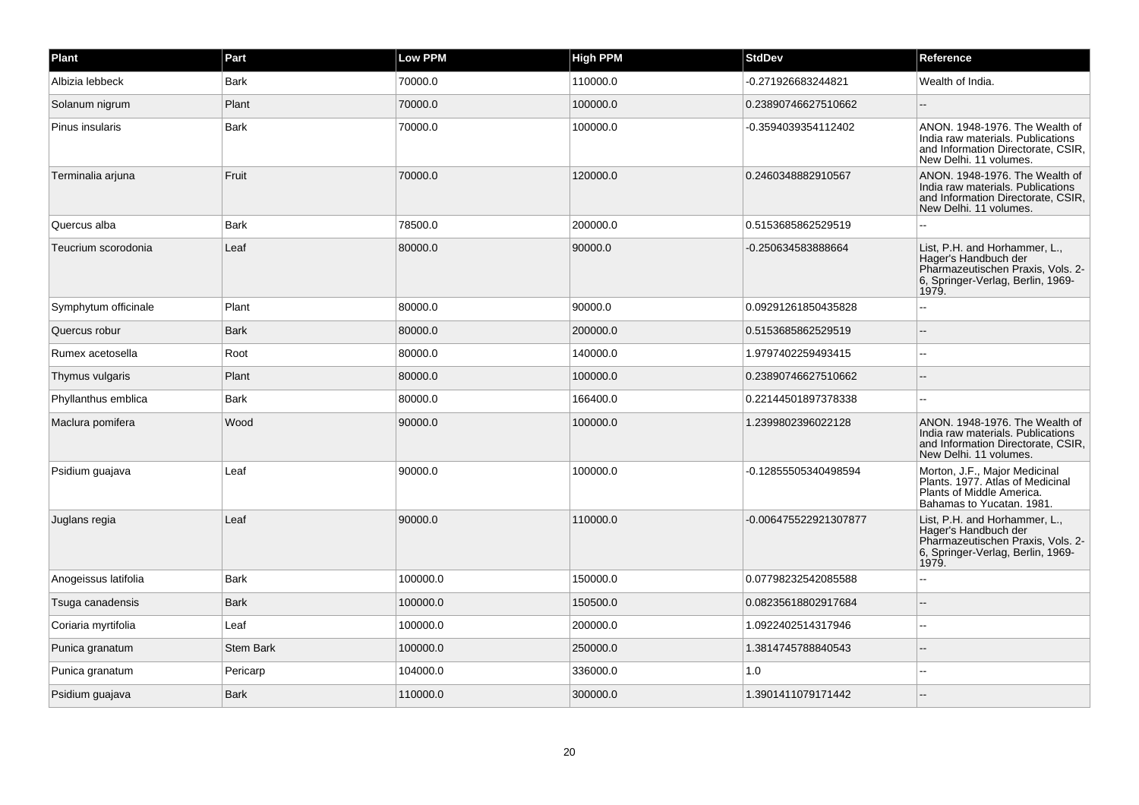| Plant                | Part             | <b>Low PPM</b> | <b>High PPM</b> | <b>StdDev</b>         | Reference                                                                                                                                |
|----------------------|------------------|----------------|-----------------|-----------------------|------------------------------------------------------------------------------------------------------------------------------------------|
| Albizia lebbeck      | <b>Bark</b>      | 70000.0        | 110000.0        | -0.271926683244821    | Wealth of India.                                                                                                                         |
| Solanum nigrum       | Plant            | 70000.0        | 100000.0        | 0.23890746627510662   |                                                                                                                                          |
| Pinus insularis      | <b>Bark</b>      | 70000.0        | 100000.0        | -0.3594039354112402   | ANON. 1948-1976. The Wealth of<br>India raw materials. Publications<br>and Information Directorate, CSIR,<br>New Delhi. 11 volumes.      |
| Terminalia arjuna    | Fruit            | 70000.0        | 120000.0        | 0.2460348882910567    | ANON. 1948-1976. The Wealth of<br>India raw materials. Publications<br>and Information Directorate, CSIR,<br>New Delhi, 11 volumes.      |
| Quercus alba         | <b>Bark</b>      | 78500.0        | 200000.0        | 0.5153685862529519    |                                                                                                                                          |
| Teucrium scorodonia  | Leaf             | 80000.0        | 90000.0         | -0.250634583888664    | List, P.H. and Horhammer, L.,<br>Hager's Handbuch der<br>Pharmazeutischen Praxis, Vols. 2-<br>6, Springer-Verlag, Berlin, 1969-<br>1979. |
| Symphytum officinale | Plant            | 80000.0        | 90000.0         | 0.09291261850435828   |                                                                                                                                          |
| Quercus robur        | <b>Bark</b>      | 80000.0        | 200000.0        | 0.5153685862529519    |                                                                                                                                          |
| Rumex acetosella     | Root             | 80000.0        | 140000.0        | 1.9797402259493415    |                                                                                                                                          |
| Thymus vulgaris      | Plant            | 80000.0        | 100000.0        | 0.23890746627510662   |                                                                                                                                          |
| Phyllanthus emblica  | <b>Bark</b>      | 80000.0        | 166400.0        | 0.22144501897378338   |                                                                                                                                          |
| Maclura pomifera     | Wood             | 90000.0        | 100000.0        | 1.2399802396022128    | ANON, 1948-1976. The Wealth of<br>India raw materials. Publications<br>and Information Directorate, CSIR,<br>New Delhi. 11 volumes.      |
| Psidium guajava      | Leaf             | 90000.0        | 100000.0        | -0.12855505340498594  | Morton, J.F., Major Medicinal<br>Plants, 1977. Atlas of Medicinal<br>Plants of Middle America.<br>Bahamas to Yucatan, 1981.              |
| Juglans regia        | Leaf             | 90000.0        | 110000.0        | -0.006475522921307877 | List, P.H. and Horhammer, L.,<br>Hager's Handbuch der<br>Pharmazeutischen Praxis, Vols. 2-<br>6, Springer-Verlag, Berlin, 1969-<br>1979. |
| Anogeissus latifolia | <b>Bark</b>      | 100000.0       | 150000.0        | 0.07798232542085588   |                                                                                                                                          |
| Tsuga canadensis     | <b>Bark</b>      | 100000.0       | 150500.0        | 0.08235618802917684   |                                                                                                                                          |
| Coriaria myrtifolia  | Leaf             | 100000.0       | 200000.0        | 1.0922402514317946    |                                                                                                                                          |
| Punica granatum      | <b>Stem Bark</b> | 100000.0       | 250000.0        | 1.3814745788840543    |                                                                                                                                          |
| Punica granatum      | Pericarp         | 104000.0       | 336000.0        | 1.0                   |                                                                                                                                          |
| Psidium guajava      | <b>Bark</b>      | 110000.0       | 300000.0        | 1.3901411079171442    |                                                                                                                                          |